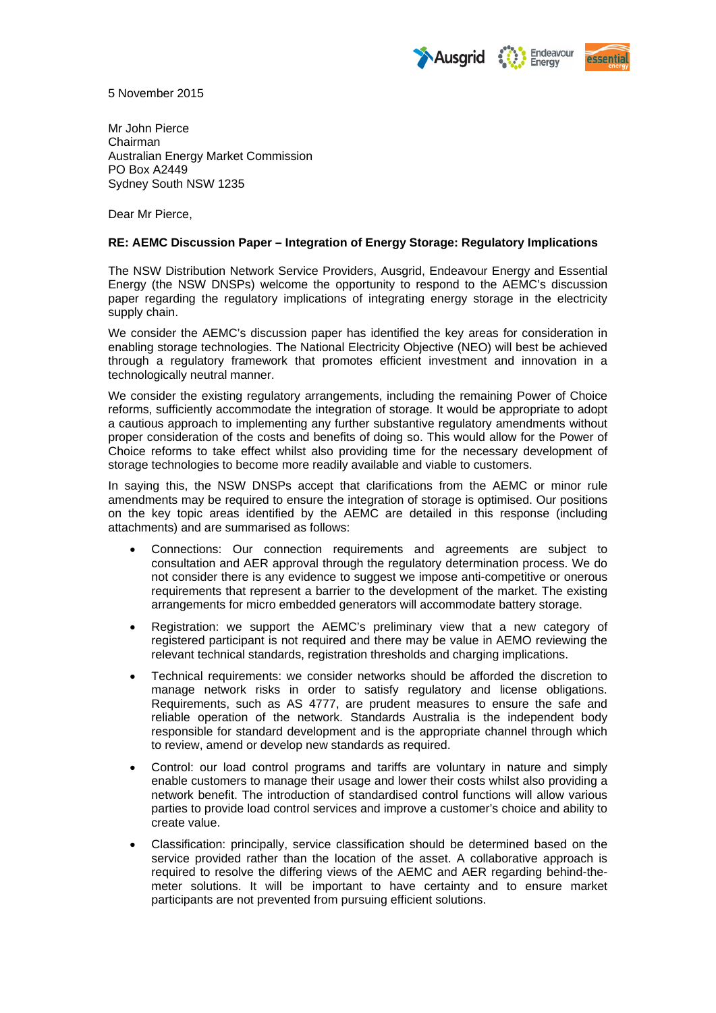



5 November 2015

Mr John Pierce Chairman Australian Energy Market Commission PO Box A2449 Sydney South NSW 1235

Dear Mr Pierce,

#### **RE: AEMC Discussion Paper – Integration of Energy Storage: Regulatory Implications**

The NSW Distribution Network Service Providers, Ausgrid, Endeavour Energy and Essential Energy (the NSW DNSPs) welcome the opportunity to respond to the AEMC's discussion paper regarding the regulatory implications of integrating energy storage in the electricity supply chain.

We consider the AEMC's discussion paper has identified the key areas for consideration in enabling storage technologies. The National Electricity Objective (NEO) will best be achieved through a regulatory framework that promotes efficient investment and innovation in a technologically neutral manner.

We consider the existing regulatory arrangements, including the remaining Power of Choice reforms, sufficiently accommodate the integration of storage. It would be appropriate to adopt a cautious approach to implementing any further substantive regulatory amendments without proper consideration of the costs and benefits of doing so. This would allow for the Power of Choice reforms to take effect whilst also providing time for the necessary development of storage technologies to become more readily available and viable to customers.

In saying this, the NSW DNSPs accept that clarifications from the AEMC or minor rule amendments may be required to ensure the integration of storage is optimised. Our positions on the key topic areas identified by the AEMC are detailed in this response (including attachments) and are summarised as follows:

- Connections: Our connection requirements and agreements are subject to consultation and AER approval through the regulatory determination process. We do not consider there is any evidence to suggest we impose anti-competitive or onerous requirements that represent a barrier to the development of the market. The existing arrangements for micro embedded generators will accommodate battery storage.
- Registration: we support the AEMC's preliminary view that a new category of registered participant is not required and there may be value in AEMO reviewing the relevant technical standards, registration thresholds and charging implications.
- Technical requirements: we consider networks should be afforded the discretion to manage network risks in order to satisfy regulatory and license obligations. Requirements, such as AS 4777, are prudent measures to ensure the safe and reliable operation of the network. Standards Australia is the independent body responsible for standard development and is the appropriate channel through which to review, amend or develop new standards as required.
- Control: our load control programs and tariffs are voluntary in nature and simply enable customers to manage their usage and lower their costs whilst also providing a network benefit. The introduction of standardised control functions will allow various parties to provide load control services and improve a customer's choice and ability to create value.
- Classification: principally, service classification should be determined based on the service provided rather than the location of the asset. A collaborative approach is required to resolve the differing views of the AEMC and AER regarding behind-themeter solutions. It will be important to have certainty and to ensure market participants are not prevented from pursuing efficient solutions.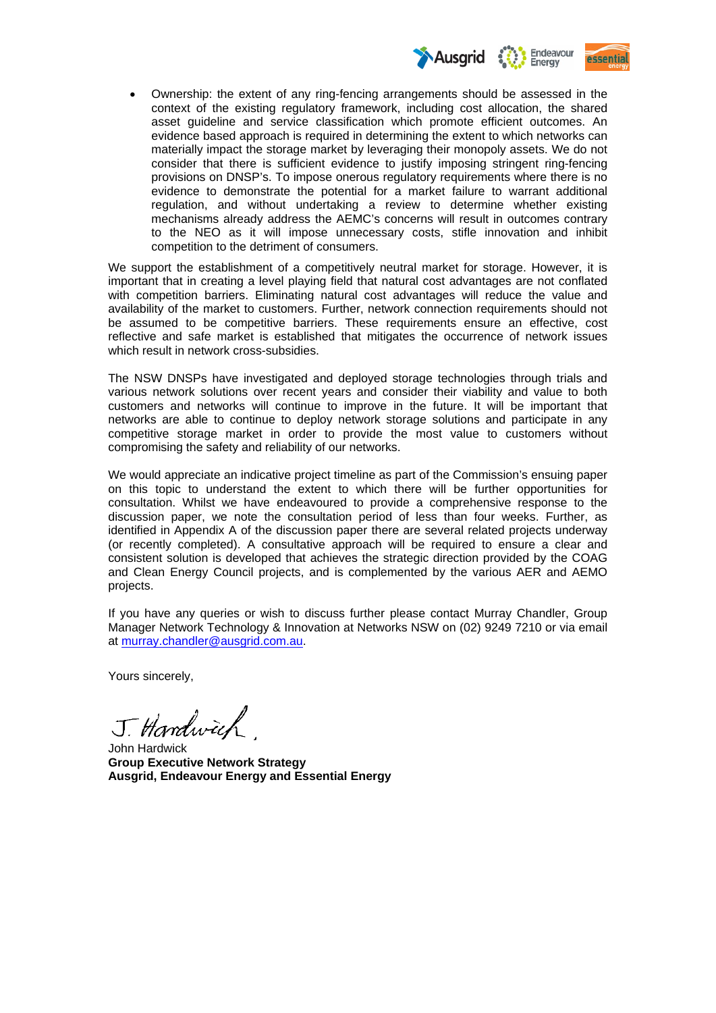

 Ownership: the extent of any ring-fencing arrangements should be assessed in the context of the existing regulatory framework, including cost allocation, the shared asset guideline and service classification which promote efficient outcomes. An evidence based approach is required in determining the extent to which networks can materially impact the storage market by leveraging their monopoly assets. We do not consider that there is sufficient evidence to justify imposing stringent ring-fencing provisions on DNSP's. To impose onerous regulatory requirements where there is no evidence to demonstrate the potential for a market failure to warrant additional regulation, and without undertaking a review to determine whether existing mechanisms already address the AEMC's concerns will result in outcomes contrary to the NEO as it will impose unnecessary costs, stifle innovation and inhibit competition to the detriment of consumers.

We support the establishment of a competitively neutral market for storage. However, it is important that in creating a level playing field that natural cost advantages are not conflated with competition barriers. Eliminating natural cost advantages will reduce the value and availability of the market to customers. Further, network connection requirements should not be assumed to be competitive barriers. These requirements ensure an effective, cost reflective and safe market is established that mitigates the occurrence of network issues which result in network cross-subsidies.

The NSW DNSPs have investigated and deployed storage technologies through trials and various network solutions over recent years and consider their viability and value to both customers and networks will continue to improve in the future. It will be important that networks are able to continue to deploy network storage solutions and participate in any competitive storage market in order to provide the most value to customers without compromising the safety and reliability of our networks.

We would appreciate an indicative project timeline as part of the Commission's ensuing paper on this topic to understand the extent to which there will be further opportunities for consultation. Whilst we have endeavoured to provide a comprehensive response to the discussion paper, we note the consultation period of less than four weeks. Further, as identified in Appendix A of the discussion paper there are several related projects underway (or recently completed). A consultative approach will be required to ensure a clear and consistent solution is developed that achieves the strategic direction provided by the COAG and Clean Energy Council projects, and is complemented by the various AER and AEMO projects.

If you have any queries or wish to discuss further please contact Murray Chandler, Group Manager Network Technology & Innovation at Networks NSW on (02) 9249 7210 or via email at murray.chandler@ausgrid.com.au.

Yours sincerely,

J. Hardwich

John Hardwick **Group Executive Network Strategy Ausgrid, Endeavour Energy and Essential Energy**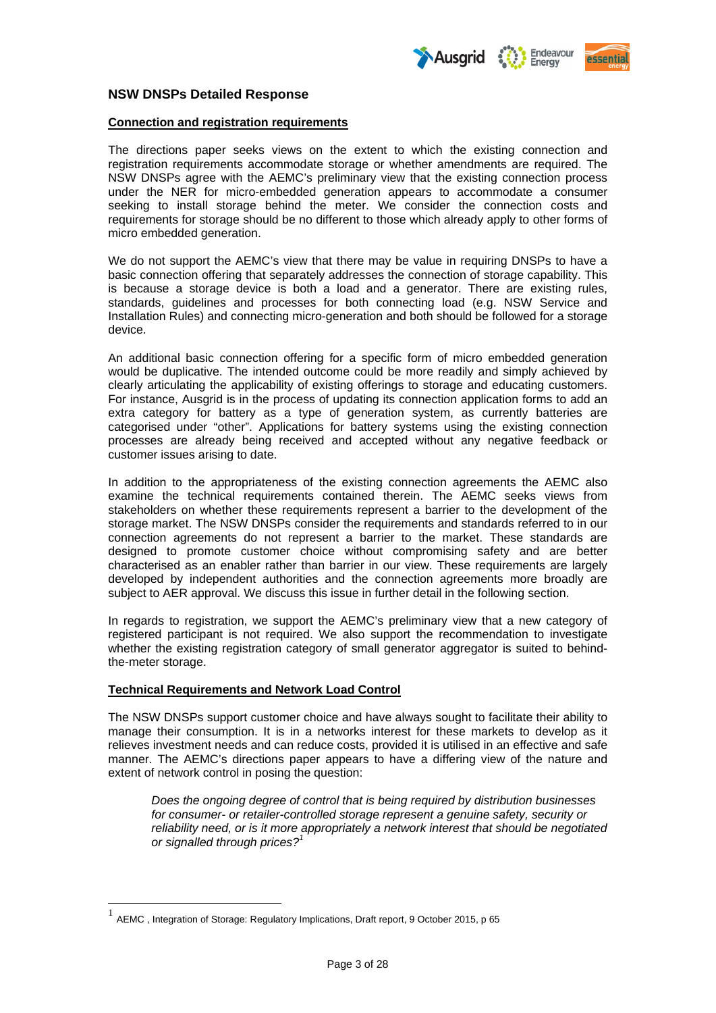



## **NSW DNSPs Detailed Response**

#### **Connection and registration requirements**

The directions paper seeks views on the extent to which the existing connection and registration requirements accommodate storage or whether amendments are required. The NSW DNSPs agree with the AEMC's preliminary view that the existing connection process under the NER for micro-embedded generation appears to accommodate a consumer seeking to install storage behind the meter. We consider the connection costs and requirements for storage should be no different to those which already apply to other forms of micro embedded generation.

We do not support the AEMC's view that there may be value in requiring DNSPs to have a basic connection offering that separately addresses the connection of storage capability. This is because a storage device is both a load and a generator. There are existing rules, standards, guidelines and processes for both connecting load (e.g. NSW Service and Installation Rules) and connecting micro-generation and both should be followed for a storage device.

An additional basic connection offering for a specific form of micro embedded generation would be duplicative. The intended outcome could be more readily and simply achieved by clearly articulating the applicability of existing offerings to storage and educating customers. For instance, Ausgrid is in the process of updating its connection application forms to add an extra category for battery as a type of generation system, as currently batteries are categorised under "other". Applications for battery systems using the existing connection processes are already being received and accepted without any negative feedback or customer issues arising to date.

In addition to the appropriateness of the existing connection agreements the AEMC also examine the technical requirements contained therein. The AEMC seeks views from stakeholders on whether these requirements represent a barrier to the development of the storage market. The NSW DNSPs consider the requirements and standards referred to in our connection agreements do not represent a barrier to the market. These standards are designed to promote customer choice without compromising safety and are better characterised as an enabler rather than barrier in our view. These requirements are largely developed by independent authorities and the connection agreements more broadly are subject to AER approval. We discuss this issue in further detail in the following section.

In regards to registration, we support the AEMC's preliminary view that a new category of registered participant is not required. We also support the recommendation to investigate whether the existing registration category of small generator aggregator is suited to behindthe-meter storage.

## **Technical Requirements and Network Load Control**

1

The NSW DNSPs support customer choice and have always sought to facilitate their ability to manage their consumption. It is in a networks interest for these markets to develop as it relieves investment needs and can reduce costs, provided it is utilised in an effective and safe manner. The AEMC's directions paper appears to have a differing view of the nature and extent of network control in posing the question:

*Does the ongoing degree of control that is being required by distribution businesses for consumer- or retailer-controlled storage represent a genuine safety, security or reliability need, or is it more appropriately a network interest that should be negotiated or signalled through prices?<sup>1</sup>*

 $^{1}$  AEMC, Integration of Storage: Regulatory Implications, Draft report, 9 October 2015, p 65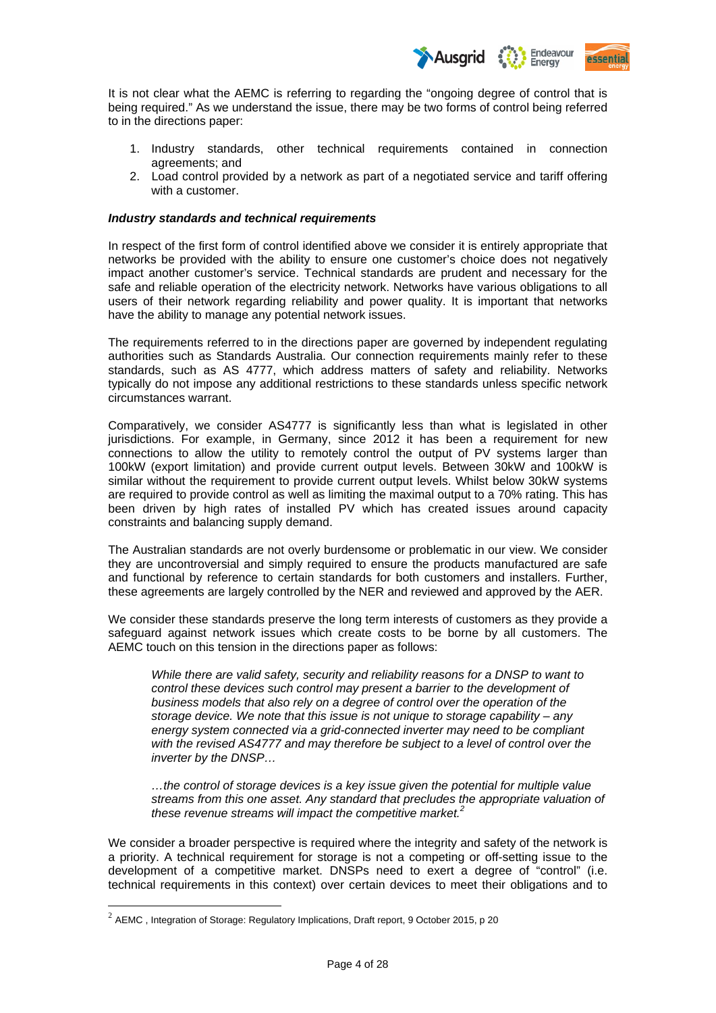

It is not clear what the AEMC is referring to regarding the "ongoing degree of control that is being required." As we understand the issue, there may be two forms of control being referred to in the directions paper:

- 1. Industry standards, other technical requirements contained in connection agreements; and
- 2. Load control provided by a network as part of a negotiated service and tariff offering with a customer.

## *Industry standards and technical requirements*

In respect of the first form of control identified above we consider it is entirely appropriate that networks be provided with the ability to ensure one customer's choice does not negatively impact another customer's service. Technical standards are prudent and necessary for the safe and reliable operation of the electricity network. Networks have various obligations to all users of their network regarding reliability and power quality. It is important that networks have the ability to manage any potential network issues.

The requirements referred to in the directions paper are governed by independent regulating authorities such as Standards Australia. Our connection requirements mainly refer to these standards, such as AS 4777, which address matters of safety and reliability. Networks typically do not impose any additional restrictions to these standards unless specific network circumstances warrant.

Comparatively, we consider AS4777 is significantly less than what is legislated in other jurisdictions. For example, in Germany, since 2012 it has been a requirement for new connections to allow the utility to remotely control the output of PV systems larger than 100kW (export limitation) and provide current output levels. Between 30kW and 100kW is similar without the requirement to provide current output levels. Whilst below 30kW systems are required to provide control as well as limiting the maximal output to a 70% rating. This has been driven by high rates of installed PV which has created issues around capacity constraints and balancing supply demand.

The Australian standards are not overly burdensome or problematic in our view. We consider they are uncontroversial and simply required to ensure the products manufactured are safe and functional by reference to certain standards for both customers and installers. Further, these agreements are largely controlled by the NER and reviewed and approved by the AER.

We consider these standards preserve the long term interests of customers as they provide a safeguard against network issues which create costs to be borne by all customers. The AEMC touch on this tension in the directions paper as follows:

*While there are valid safety, security and reliability reasons for a DNSP to want to control these devices such control may present a barrier to the development of business models that also rely on a degree of control over the operation of the storage device. We note that this issue is not unique to storage capability – any energy system connected via a grid-connected inverter may need to be compliant with the revised AS4777 and may therefore be subject to a level of control over the inverter by the DNSP…* 

*…the control of storage devices is a key issue given the potential for multiple value streams from this one asset. Any standard that precludes the appropriate valuation of these revenue streams will impact the competitive market.2*

We consider a broader perspective is required where the integrity and safety of the network is a priority. A technical requirement for storage is not a competing or off-setting issue to the development of a competitive market. DNSPs need to exert a degree of "control" (i.e. technical requirements in this context) over certain devices to meet their obligations and to

1

 $2$  AEMC, Integration of Storage: Regulatory Implications, Draft report, 9 October 2015, p 20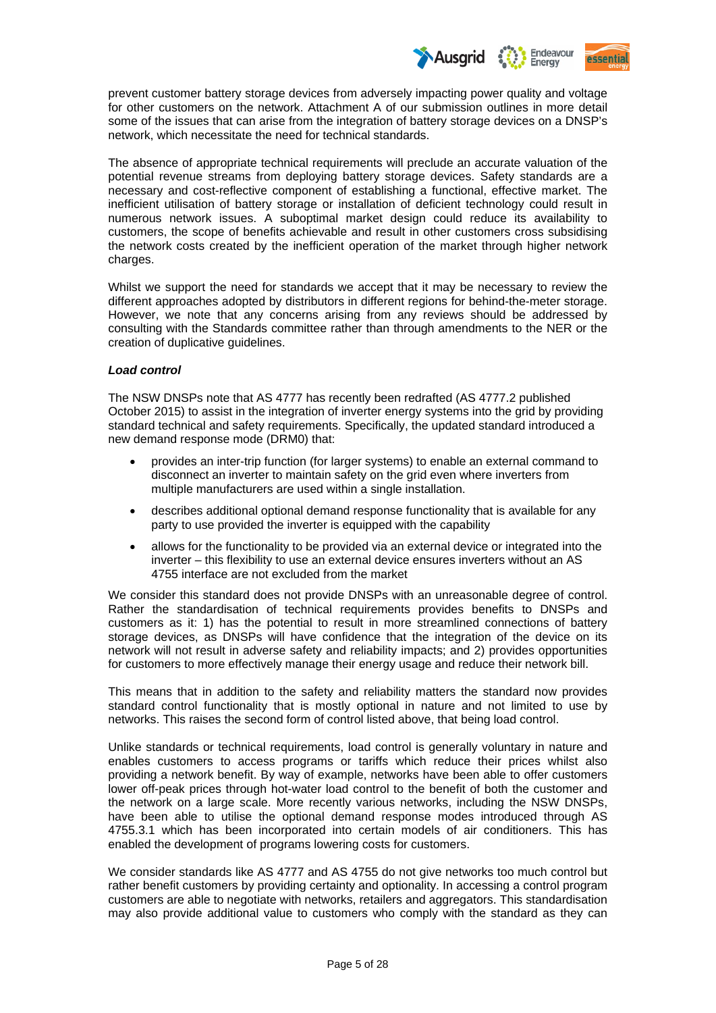

prevent customer battery storage devices from adversely impacting power quality and voltage for other customers on the network. Attachment A of our submission outlines in more detail some of the issues that can arise from the integration of battery storage devices on a DNSP's network, which necessitate the need for technical standards.

The absence of appropriate technical requirements will preclude an accurate valuation of the potential revenue streams from deploying battery storage devices. Safety standards are a necessary and cost-reflective component of establishing a functional, effective market. The inefficient utilisation of battery storage or installation of deficient technology could result in numerous network issues. A suboptimal market design could reduce its availability to customers, the scope of benefits achievable and result in other customers cross subsidising the network costs created by the inefficient operation of the market through higher network charges.

Whilst we support the need for standards we accept that it may be necessary to review the different approaches adopted by distributors in different regions for behind-the-meter storage. However, we note that any concerns arising from any reviews should be addressed by consulting with the Standards committee rather than through amendments to the NER or the creation of duplicative guidelines.

## *Load control*

The NSW DNSPs note that AS 4777 has recently been redrafted (AS 4777.2 published October 2015) to assist in the integration of inverter energy systems into the grid by providing standard technical and safety requirements. Specifically, the updated standard introduced a new demand response mode (DRM0) that:

- provides an inter-trip function (for larger systems) to enable an external command to disconnect an inverter to maintain safety on the grid even where inverters from multiple manufacturers are used within a single installation.
- describes additional optional demand response functionality that is available for any party to use provided the inverter is equipped with the capability
- allows for the functionality to be provided via an external device or integrated into the inverter – this flexibility to use an external device ensures inverters without an AS 4755 interface are not excluded from the market

We consider this standard does not provide DNSPs with an unreasonable degree of control. Rather the standardisation of technical requirements provides benefits to DNSPs and customers as it: 1) has the potential to result in more streamlined connections of battery storage devices, as DNSPs will have confidence that the integration of the device on its network will not result in adverse safety and reliability impacts; and 2) provides opportunities for customers to more effectively manage their energy usage and reduce their network bill.

This means that in addition to the safety and reliability matters the standard now provides standard control functionality that is mostly optional in nature and not limited to use by networks. This raises the second form of control listed above, that being load control.

Unlike standards or technical requirements, load control is generally voluntary in nature and enables customers to access programs or tariffs which reduce their prices whilst also providing a network benefit. By way of example, networks have been able to offer customers lower off-peak prices through hot-water load control to the benefit of both the customer and the network on a large scale. More recently various networks, including the NSW DNSPs, have been able to utilise the optional demand response modes introduced through AS 4755.3.1 which has been incorporated into certain models of air conditioners. This has enabled the development of programs lowering costs for customers.

We consider standards like AS 4777 and AS 4755 do not give networks too much control but rather benefit customers by providing certainty and optionality. In accessing a control program customers are able to negotiate with networks, retailers and aggregators. This standardisation may also provide additional value to customers who comply with the standard as they can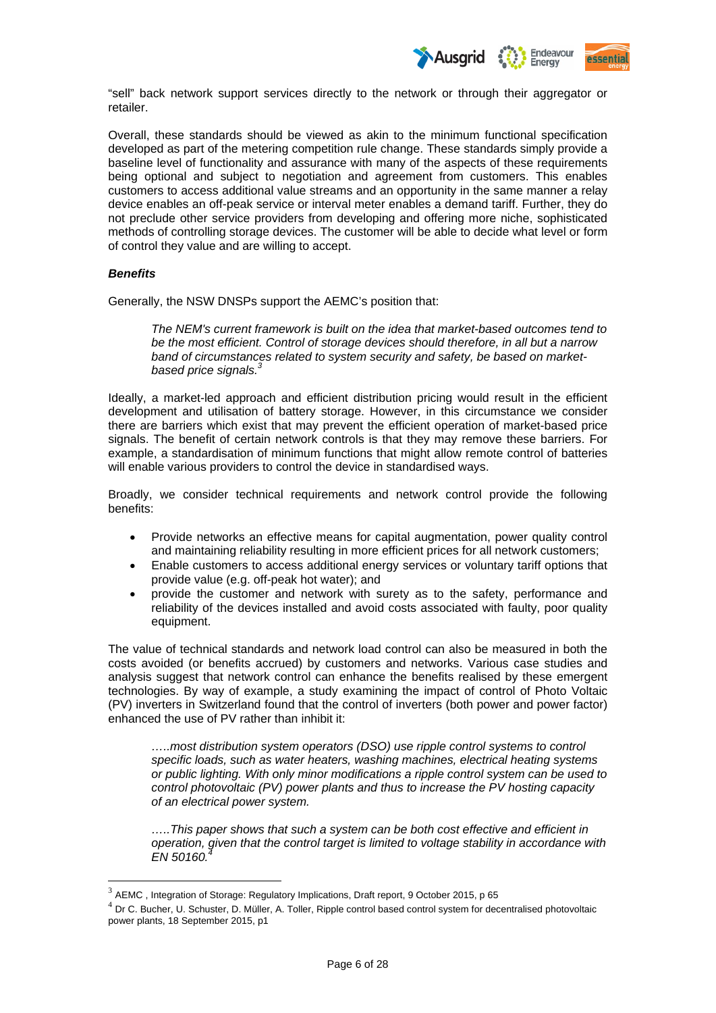

"sell" back network support services directly to the network or through their aggregator or retailer.

Overall, these standards should be viewed as akin to the minimum functional specification developed as part of the metering competition rule change. These standards simply provide a baseline level of functionality and assurance with many of the aspects of these requirements being optional and subject to negotiation and agreement from customers. This enables customers to access additional value streams and an opportunity in the same manner a relay device enables an off-peak service or interval meter enables a demand tariff. Further, they do not preclude other service providers from developing and offering more niche, sophisticated methods of controlling storage devices. The customer will be able to decide what level or form of control they value and are willing to accept.

## *Benefits*

1

Generally, the NSW DNSPs support the AEMC's position that:

*The NEM's current framework is built on the idea that market-based outcomes tend to be the most efficient. Control of storage devices should therefore, in all but a narrow band of circumstances related to system security and safety, be based on marketbased price signals.3*

Ideally, a market-led approach and efficient distribution pricing would result in the efficient development and utilisation of battery storage. However, in this circumstance we consider there are barriers which exist that may prevent the efficient operation of market-based price signals. The benefit of certain network controls is that they may remove these barriers. For example, a standardisation of minimum functions that might allow remote control of batteries will enable various providers to control the device in standardised ways.

Broadly, we consider technical requirements and network control provide the following benefits:

- Provide networks an effective means for capital augmentation, power quality control and maintaining reliability resulting in more efficient prices for all network customers;
- Enable customers to access additional energy services or voluntary tariff options that provide value (e.g. off-peak hot water); and
- provide the customer and network with surety as to the safety, performance and reliability of the devices installed and avoid costs associated with faulty, poor quality equipment.

The value of technical standards and network load control can also be measured in both the costs avoided (or benefits accrued) by customers and networks. Various case studies and analysis suggest that network control can enhance the benefits realised by these emergent technologies. By way of example, a study examining the impact of control of Photo Voltaic (PV) inverters in Switzerland found that the control of inverters (both power and power factor) enhanced the use of PV rather than inhibit it:

*…..most distribution system operators (DSO) use ripple control systems to control specific loads, such as water heaters, washing machines, electrical heating systems or public lighting. With only minor modifications a ripple control system can be used to control photovoltaic (PV) power plants and thus to increase the PV hosting capacity of an electrical power system.* 

*…..This paper shows that such a system can be both cost effective and efficient in operation, given that the control target is limited to voltage stability in accordance with*   $EN 50160.$ 

 $3$  AEMC, Integration of Storage: Regulatory Implications, Draft report, 9 October 2015, p 65

 $<sup>4</sup>$  Dr C. Bucher, U. Schuster, D. Müller, A. Toller, Ripple control based control system for decentralised photovoltaic</sup> power plants, 18 September 2015, p1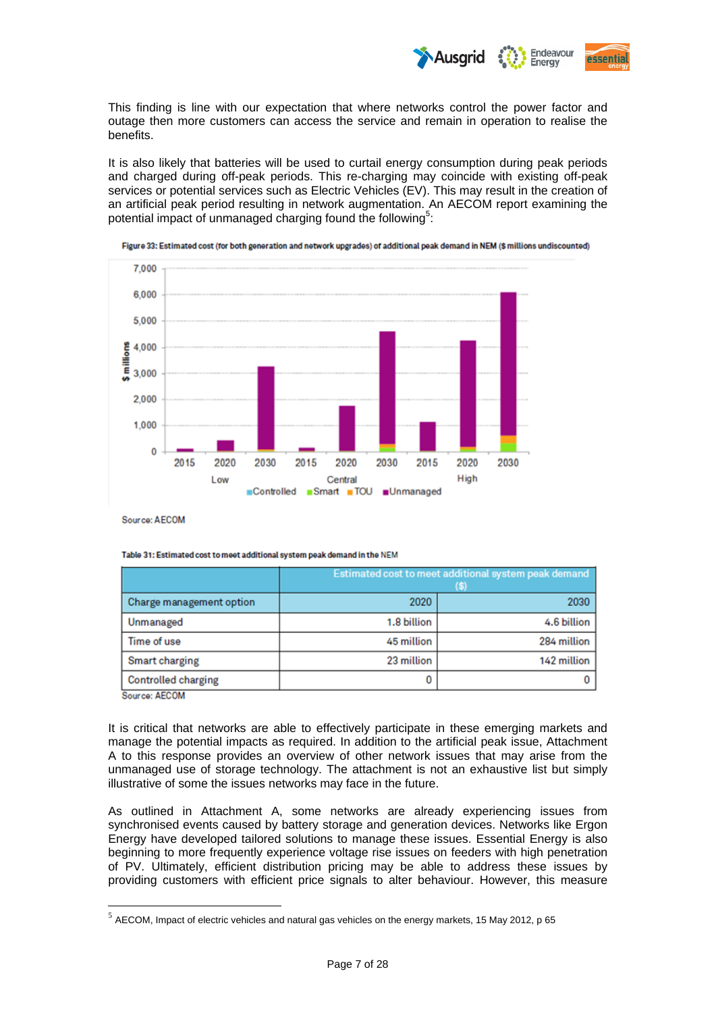

This finding is line with our expectation that where networks control the power factor and outage then more customers can access the service and remain in operation to realise the benefits.

It is also likely that batteries will be used to curtail energy consumption during peak periods and charged during off-peak periods. This re-charging may coincide with existing off-peak services or potential services such as Electric Vehicles (EV). This may result in the creation of an artificial peak period resulting in network augmentation. An AECOM report examining the potential impact of unmanaged charging found the following<sup>5</sup>:



Figure 33: Estimated cost (for both generation and network upgrades) of additional peak demand in NEM (\$ millions undiscounted)

Source: AECOM

|                            | Estimated cost to meet additional system peak demand<br>(S) |             |
|----------------------------|-------------------------------------------------------------|-------------|
| Charge management option   | 2020                                                        | 2030        |
| Unmanaged                  | 1.8 billion                                                 | 4.6 billion |
| Time of use                | 45 million                                                  | 284 million |
| <b>Smart charging</b>      | 23 million                                                  | 142 million |
| <b>Controlled charging</b> | 0                                                           |             |

Source: AECOM

1

It is critical that networks are able to effectively participate in these emerging markets and manage the potential impacts as required. In addition to the artificial peak issue, Attachment A to this response provides an overview of other network issues that may arise from the unmanaged use of storage technology. The attachment is not an exhaustive list but simply illustrative of some the issues networks may face in the future.

As outlined in Attachment A, some networks are already experiencing issues from synchronised events caused by battery storage and generation devices. Networks like Ergon Energy have developed tailored solutions to manage these issues. Essential Energy is also beginning to more frequently experience voltage rise issues on feeders with high penetration of PV. Ultimately, efficient distribution pricing may be able to address these issues by providing customers with efficient price signals to alter behaviour. However, this measure

 $<sup>5</sup>$  AECOM, Impact of electric vehicles and natural gas vehicles on the energy markets, 15 May 2012, p 65</sup>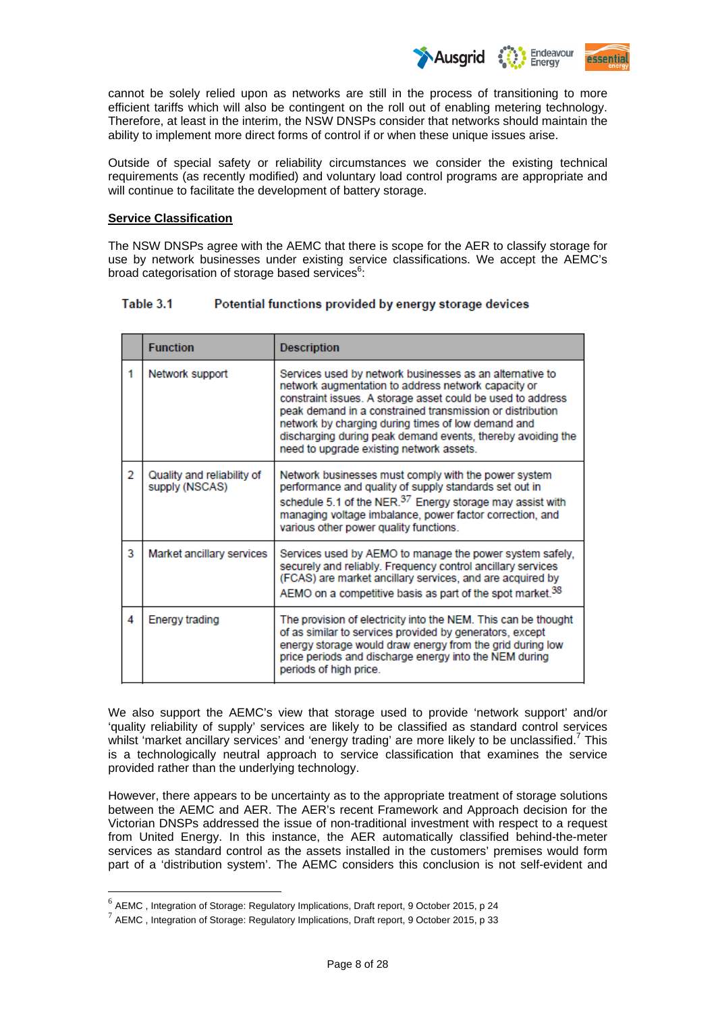

cannot be solely relied upon as networks are still in the process of transitioning to more efficient tariffs which will also be contingent on the roll out of enabling metering technology. Therefore, at least in the interim, the NSW DNSPs consider that networks should maintain the ability to implement more direct forms of control if or when these unique issues arise.

Outside of special safety or reliability circumstances we consider the existing technical requirements (as recently modified) and voluntary load control programs are appropriate and will continue to facilitate the development of battery storage.

#### **Service Classification**

The NSW DNSPs agree with the AEMC that there is scope for the AER to classify storage for use by network businesses under existing service classifications. We accept the AEMC's broad categorisation of storage based services<sup>6</sup>:

#### Table 3.1 Potential functions provided by energy storage devices

|   | <b>Function</b>                              | <b>Description</b>                                                                                                                                                                                                                                                                                                                                                                                           |
|---|----------------------------------------------|--------------------------------------------------------------------------------------------------------------------------------------------------------------------------------------------------------------------------------------------------------------------------------------------------------------------------------------------------------------------------------------------------------------|
| 1 | Network support                              | Services used by network businesses as an alternative to<br>network augmentation to address network capacity or<br>constraint issues. A storage asset could be used to address<br>peak demand in a constrained transmission or distribution<br>network by charging during times of low demand and<br>discharging during peak demand events, thereby avoiding the<br>need to upgrade existing network assets. |
| 2 | Quality and reliability of<br>supply (NSCAS) | Network businesses must comply with the power system<br>performance and quality of supply standards set out in<br>schedule 5.1 of the NER. <sup>37</sup> Energy storage may assist with<br>managing voltage imbalance, power factor correction, and<br>various other power quality functions.                                                                                                                |
| 3 | Market ancillary services                    | Services used by AEMO to manage the power system safely,<br>securely and reliably. Frequency control ancillary services<br>(FCAS) are market ancillary services, and are acquired by<br>AEMO on a competitive basis as part of the spot market. <sup>38</sup>                                                                                                                                                |
| 4 | <b>Energy trading</b>                        | The provision of electricity into the NEM. This can be thought<br>of as similar to services provided by generators, except<br>energy storage would draw energy from the grid during low<br>price periods and discharge energy into the NEM during<br>periods of high price.                                                                                                                                  |

We also support the AEMC's view that storage used to provide 'network support' and/or 'quality reliability of supply' services are likely to be classified as standard control services whilst 'market ancillary services' and 'energy trading' are more likely to be unclassified.<sup>7</sup> This is a technologically neutral approach to service classification that examines the service provided rather than the underlying technology.

However, there appears to be uncertainty as to the appropriate treatment of storage solutions between the AEMC and AER. The AER's recent Framework and Approach decision for the Victorian DNSPs addressed the issue of non-traditional investment with respect to a request from United Energy. In this instance, the AER automatically classified behind-the-meter services as standard control as the assets installed in the customers' premises would form part of a 'distribution system'. The AEMC considers this conclusion is not self-evident and

<u>.</u>

 $6$  AEMC, Integration of Storage: Regulatory Implications, Draft report, 9 October 2015, p 24

 $^7$  AEMC, Integration of Storage: Regulatory Implications, Draft report, 9 October 2015, p 33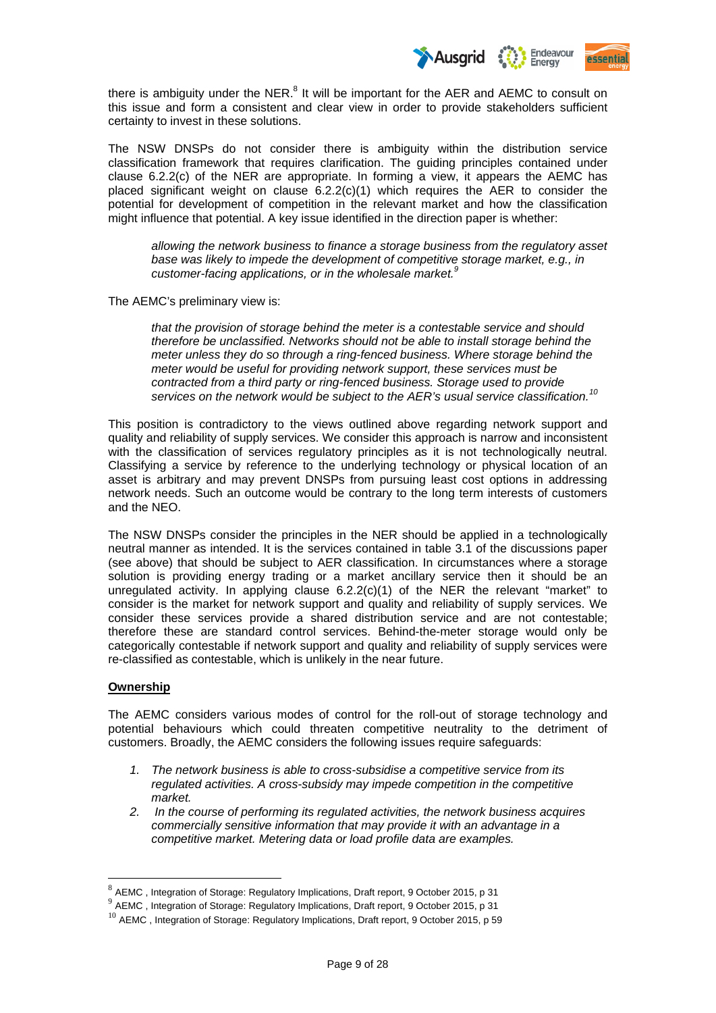

there is ambiguity under the NER. $<sup>8</sup>$  It will be important for the AER and AEMC to consult on</sup> this issue and form a consistent and clear view in order to provide stakeholders sufficient certainty to invest in these solutions.

The NSW DNSPs do not consider there is ambiguity within the distribution service classification framework that requires clarification. The guiding principles contained under clause 6.2.2(c) of the NER are appropriate. In forming a view, it appears the AEMC has placed significant weight on clause 6.2.2(c)(1) which requires the AER to consider the potential for development of competition in the relevant market and how the classification might influence that potential. A key issue identified in the direction paper is whether:

*allowing the network business to finance a storage business from the regulatory asset base was likely to impede the development of competitive storage market, e.g., in customer-facing applications, or in the wholesale market.<sup>9</sup>*

The AEMC's preliminary view is:

*that the provision of storage behind the meter is a contestable service and should therefore be unclassified. Networks should not be able to install storage behind the meter unless they do so through a ring-fenced business. Where storage behind the meter would be useful for providing network support, these services must be contracted from a third party or ring-fenced business. Storage used to provide services on the network would be subject to the AER's usual service classification.<sup>10</sup>*

This position is contradictory to the views outlined above regarding network support and quality and reliability of supply services. We consider this approach is narrow and inconsistent with the classification of services regulatory principles as it is not technologically neutral. Classifying a service by reference to the underlying technology or physical location of an asset is arbitrary and may prevent DNSPs from pursuing least cost options in addressing network needs. Such an outcome would be contrary to the long term interests of customers and the NEO.

The NSW DNSPs consider the principles in the NER should be applied in a technologically neutral manner as intended. It is the services contained in table 3.1 of the discussions paper (see above) that should be subject to AER classification. In circumstances where a storage solution is providing energy trading or a market ancillary service then it should be an unregulated activity. In applying clause  $6.2.2(c)(1)$  of the NER the relevant "market" to consider is the market for network support and quality and reliability of supply services. We consider these services provide a shared distribution service and are not contestable; therefore these are standard control services. Behind-the-meter storage would only be categorically contestable if network support and quality and reliability of supply services were re-classified as contestable, which is unlikely in the near future.

## **Ownership**

1

The AEMC considers various modes of control for the roll-out of storage technology and potential behaviours which could threaten competitive neutrality to the detriment of customers. Broadly, the AEMC considers the following issues require safeguards:

- *1. The network business is able to cross-subsidise a competitive service from its regulated activities. A cross-subsidy may impede competition in the competitive market.*
- *2. In the course of performing its regulated activities, the network business acquires commercially sensitive information that may provide it with an advantage in a competitive market. Metering data or load profile data are examples.*

 $8$  AEMC, Integration of Storage: Regulatory Implications, Draft report, 9 October 2015, p 31

<sup>9&</sup>lt;br>**9 AEMC** , Integration of Storage: Regulatory Implications, Draft report, 9 October 2015, p 31

 $10$  AEMC, Integration of Storage: Regulatory Implications, Draft report, 9 October 2015, p 59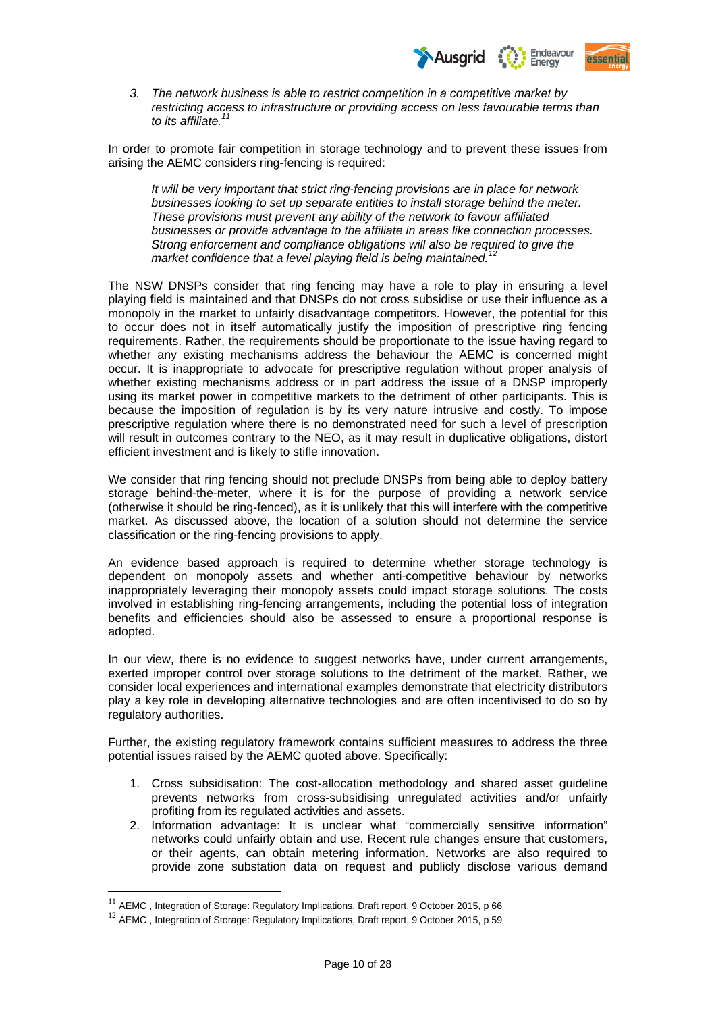

*3. The network business is able to restrict competition in a competitive market by restricting access to infrastructure or providing access on less favourable terms than to its affiliate.<sup>11</sup>*

In order to promote fair competition in storage technology and to prevent these issues from arising the AEMC considers ring-fencing is required:

*It will be very important that strict ring-fencing provisions are in place for network businesses looking to set up separate entities to install storage behind the meter. These provisions must prevent any ability of the network to favour affiliated businesses or provide advantage to the affiliate in areas like connection processes. Strong enforcement and compliance obligations will also be required to give the market confidence that a level playing field is being maintained.<sup>1</sup>* 

The NSW DNSPs consider that ring fencing may have a role to play in ensuring a level playing field is maintained and that DNSPs do not cross subsidise or use their influence as a monopoly in the market to unfairly disadvantage competitors. However, the potential for this to occur does not in itself automatically justify the imposition of prescriptive ring fencing requirements. Rather, the requirements should be proportionate to the issue having regard to whether any existing mechanisms address the behaviour the AEMC is concerned might occur. It is inappropriate to advocate for prescriptive regulation without proper analysis of whether existing mechanisms address or in part address the issue of a DNSP improperly using its market power in competitive markets to the detriment of other participants. This is because the imposition of regulation is by its very nature intrusive and costly. To impose prescriptive regulation where there is no demonstrated need for such a level of prescription will result in outcomes contrary to the NEO, as it may result in duplicative obligations, distort efficient investment and is likely to stifle innovation.

We consider that ring fencing should not preclude DNSPs from being able to deploy battery storage behind-the-meter, where it is for the purpose of providing a network service (otherwise it should be ring-fenced), as it is unlikely that this will interfere with the competitive market. As discussed above, the location of a solution should not determine the service classification or the ring-fencing provisions to apply.

An evidence based approach is required to determine whether storage technology is dependent on monopoly assets and whether anti-competitive behaviour by networks inappropriately leveraging their monopoly assets could impact storage solutions. The costs involved in establishing ring-fencing arrangements, including the potential loss of integration benefits and efficiencies should also be assessed to ensure a proportional response is adopted.

In our view, there is no evidence to suggest networks have, under current arrangements, exerted improper control over storage solutions to the detriment of the market. Rather, we consider local experiences and international examples demonstrate that electricity distributors play a key role in developing alternative technologies and are often incentivised to do so by regulatory authorities.

Further, the existing regulatory framework contains sufficient measures to address the three potential issues raised by the AEMC quoted above. Specifically:

- 1. Cross subsidisation: The cost-allocation methodology and shared asset guideline prevents networks from cross-subsidising unregulated activities and/or unfairly profiting from its regulated activities and assets.
- 2. Information advantage: It is unclear what "commercially sensitive information" networks could unfairly obtain and use. Recent rule changes ensure that customers, or their agents, can obtain metering information. Networks are also required to provide zone substation data on request and publicly disclose various demand

<u>.</u>

 $11$  AEMC . Integration of Storage: Regulatory Implications, Draft report, 9 October 2015, p 66

 $12$  AEMC, Integration of Storage: Regulatory Implications, Draft report, 9 October 2015, p 59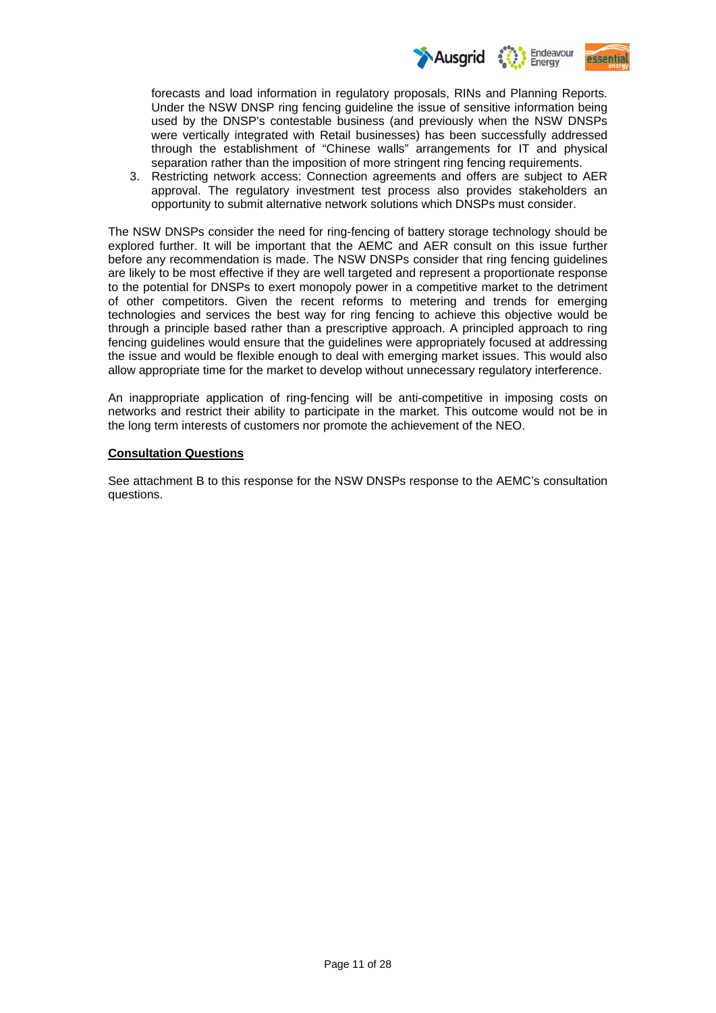

forecasts and load information in regulatory proposals, RINs and Planning Reports. Under the NSW DNSP ring fencing guideline the issue of sensitive information being used by the DNSP's contestable business (and previously when the NSW DNSPs were vertically integrated with Retail businesses) has been successfully addressed through the establishment of "Chinese walls" arrangements for IT and physical separation rather than the imposition of more stringent ring fencing requirements.

3. Restricting network access: Connection agreements and offers are subject to AER approval. The regulatory investment test process also provides stakeholders an opportunity to submit alternative network solutions which DNSPs must consider.

The NSW DNSPs consider the need for ring-fencing of battery storage technology should be explored further. It will be important that the AEMC and AER consult on this issue further before any recommendation is made. The NSW DNSPs consider that ring fencing guidelines are likely to be most effective if they are well targeted and represent a proportionate response to the potential for DNSPs to exert monopoly power in a competitive market to the detriment of other competitors. Given the recent reforms to metering and trends for emerging technologies and services the best way for ring fencing to achieve this objective would be through a principle based rather than a prescriptive approach. A principled approach to ring fencing guidelines would ensure that the guidelines were appropriately focused at addressing the issue and would be flexible enough to deal with emerging market issues. This would also allow appropriate time for the market to develop without unnecessary regulatory interference.

An inappropriate application of ring-fencing will be anti-competitive in imposing costs on networks and restrict their ability to participate in the market. This outcome would not be in the long term interests of customers nor promote the achievement of the NEO.

## **Consultation Questions**

See attachment B to this response for the NSW DNSPs response to the AEMC's consultation questions.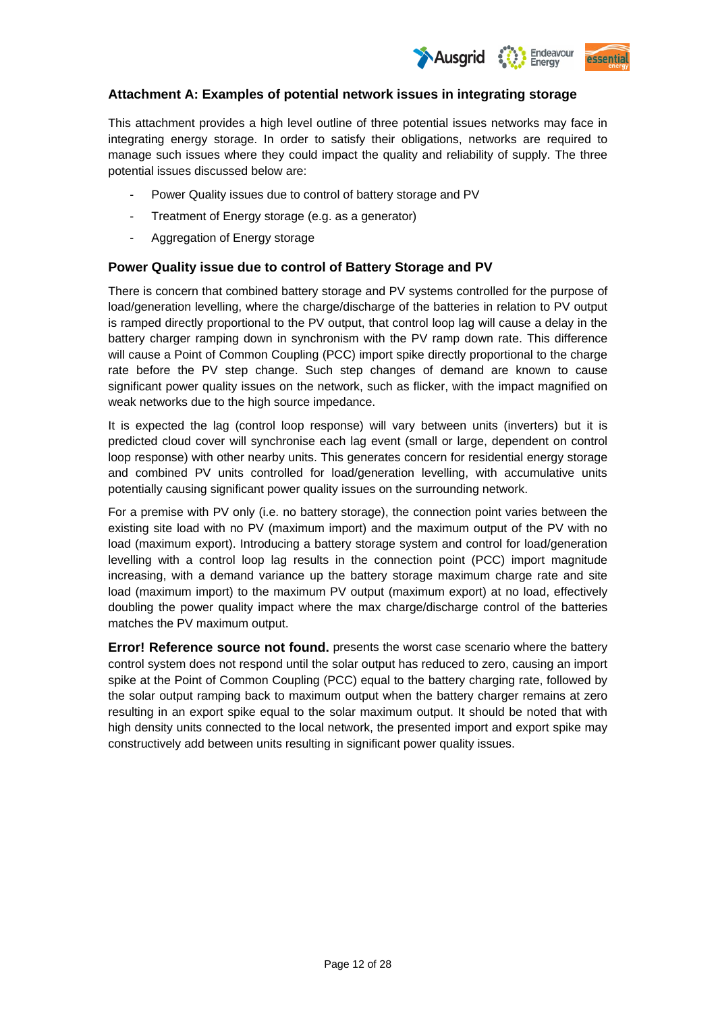

## **Attachment A: Examples of potential network issues in integrating storage**

This attachment provides a high level outline of three potential issues networks may face in integrating energy storage. In order to satisfy their obligations, networks are required to manage such issues where they could impact the quality and reliability of supply. The three potential issues discussed below are:

- Power Quality issues due to control of battery storage and PV
- Treatment of Energy storage (e.g. as a generator)
- Aggregation of Energy storage

## **Power Quality issue due to control of Battery Storage and PV**

There is concern that combined battery storage and PV systems controlled for the purpose of load/generation levelling, where the charge/discharge of the batteries in relation to PV output is ramped directly proportional to the PV output, that control loop lag will cause a delay in the battery charger ramping down in synchronism with the PV ramp down rate. This difference will cause a Point of Common Coupling (PCC) import spike directly proportional to the charge rate before the PV step change. Such step changes of demand are known to cause significant power quality issues on the network, such as flicker, with the impact magnified on weak networks due to the high source impedance.

It is expected the lag (control loop response) will vary between units (inverters) but it is predicted cloud cover will synchronise each lag event (small or large, dependent on control loop response) with other nearby units. This generates concern for residential energy storage and combined PV units controlled for load/generation levelling, with accumulative units potentially causing significant power quality issues on the surrounding network.

For a premise with PV only (i.e. no battery storage), the connection point varies between the existing site load with no PV (maximum import) and the maximum output of the PV with no load (maximum export). Introducing a battery storage system and control for load/generation levelling with a control loop lag results in the connection point (PCC) import magnitude increasing, with a demand variance up the battery storage maximum charge rate and site load (maximum import) to the maximum PV output (maximum export) at no load, effectively doubling the power quality impact where the max charge/discharge control of the batteries matches the PV maximum output.

**Error! Reference source not found.** presents the worst case scenario where the battery control system does not respond until the solar output has reduced to zero, causing an import spike at the Point of Common Coupling (PCC) equal to the battery charging rate, followed by the solar output ramping back to maximum output when the battery charger remains at zero resulting in an export spike equal to the solar maximum output. It should be noted that with high density units connected to the local network, the presented import and export spike may constructively add between units resulting in significant power quality issues.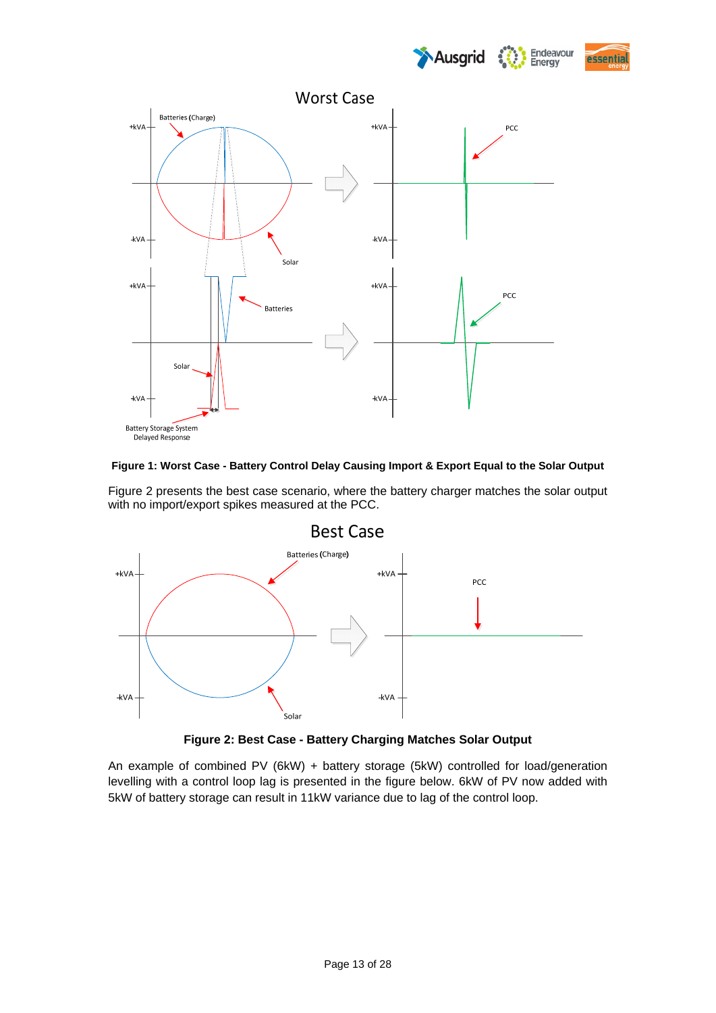





## **Figure 1: Worst Case - Battery Control Delay Causing Import & Export Equal to the Solar Output**

Figure 2 presents the best case scenario, where the battery charger matches the solar output with no import/export spikes measured at the PCC.





An example of combined PV (6kW) + battery storage (5kW) controlled for load/generation levelling with a control loop lag is presented in the figure below. 6kW of PV now added with 5kW of battery storage can result in 11kW variance due to lag of the control loop.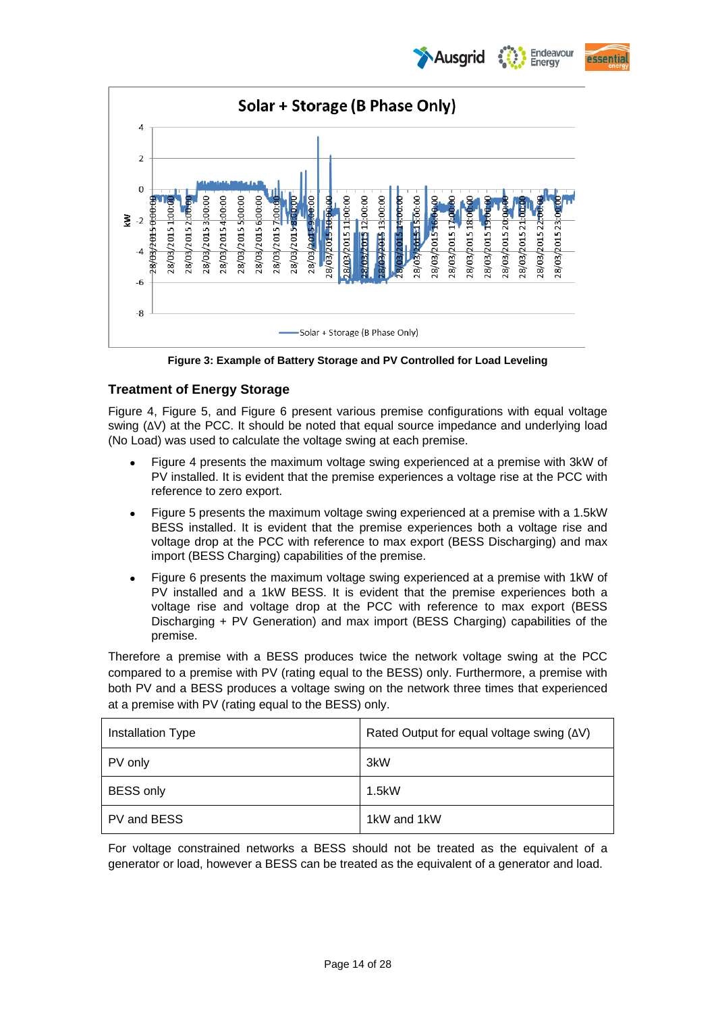Endeavour **Ausarid** Eneray





**Figure 3: Example of Battery Storage and PV Controlled for Load Leveling** 

# **Treatment of Energy Storage**

Figure 4, Figure 5, and Figure 6 present various premise configurations with equal voltage swing (ΔV) at the PCC. It should be noted that equal source impedance and underlying load (No Load) was used to calculate the voltage swing at each premise.

- Figure 4 presents the maximum voltage swing experienced at a premise with 3kW of PV installed. It is evident that the premise experiences a voltage rise at the PCC with reference to zero export.
- Figure 5 presents the maximum voltage swing experienced at a premise with a 1.5kW BESS installed. It is evident that the premise experiences both a voltage rise and voltage drop at the PCC with reference to max export (BESS Discharging) and max import (BESS Charging) capabilities of the premise.
- Figure 6 presents the maximum voltage swing experienced at a premise with 1kW of PV installed and a 1kW BESS. It is evident that the premise experiences both a voltage rise and voltage drop at the PCC with reference to max export (BESS Discharging + PV Generation) and max import (BESS Charging) capabilities of the premise.

Therefore a premise with a BESS produces twice the network voltage swing at the PCC compared to a premise with PV (rating equal to the BESS) only. Furthermore, a premise with both PV and a BESS produces a voltage swing on the network three times that experienced at a premise with PV (rating equal to the BESS) only.

| Installation Type | Rated Output for equal voltage swing (AV) |
|-------------------|-------------------------------------------|
| PV only           | 3kW                                       |
| <b>BESS only</b>  | 1.5kW                                     |
| PV and BESS       | 1kW and 1kW                               |

For voltage constrained networks a BESS should not be treated as the equivalent of a generator or load, however a BESS can be treated as the equivalent of a generator and load.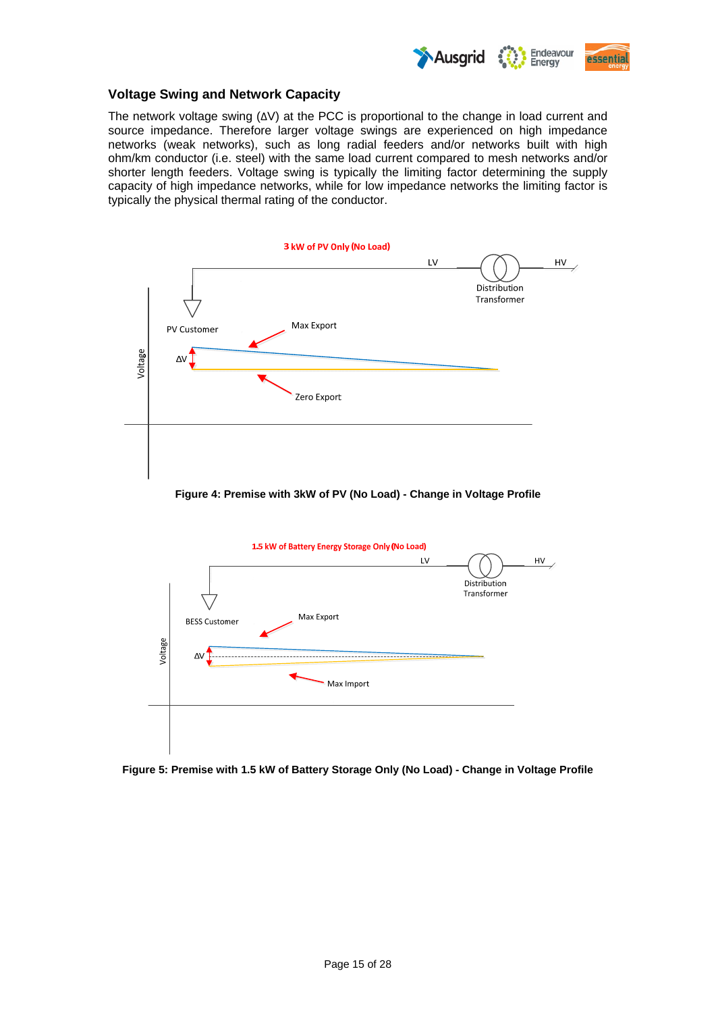

## **Voltage Swing and Network Capacity**

The network voltage swing (ΔV) at the PCC is proportional to the change in load current and source impedance. Therefore larger voltage swings are experienced on high impedance networks (weak networks), such as long radial feeders and/or networks built with high ohm/km conductor (i.e. steel) with the same load current compared to mesh networks and/or shorter length feeders. Voltage swing is typically the limiting factor determining the supply capacity of high impedance networks, while for low impedance networks the limiting factor is typically the physical thermal rating of the conductor.



**Figure 4: Premise with 3kW of PV (No Load) - Change in Voltage Profile** 



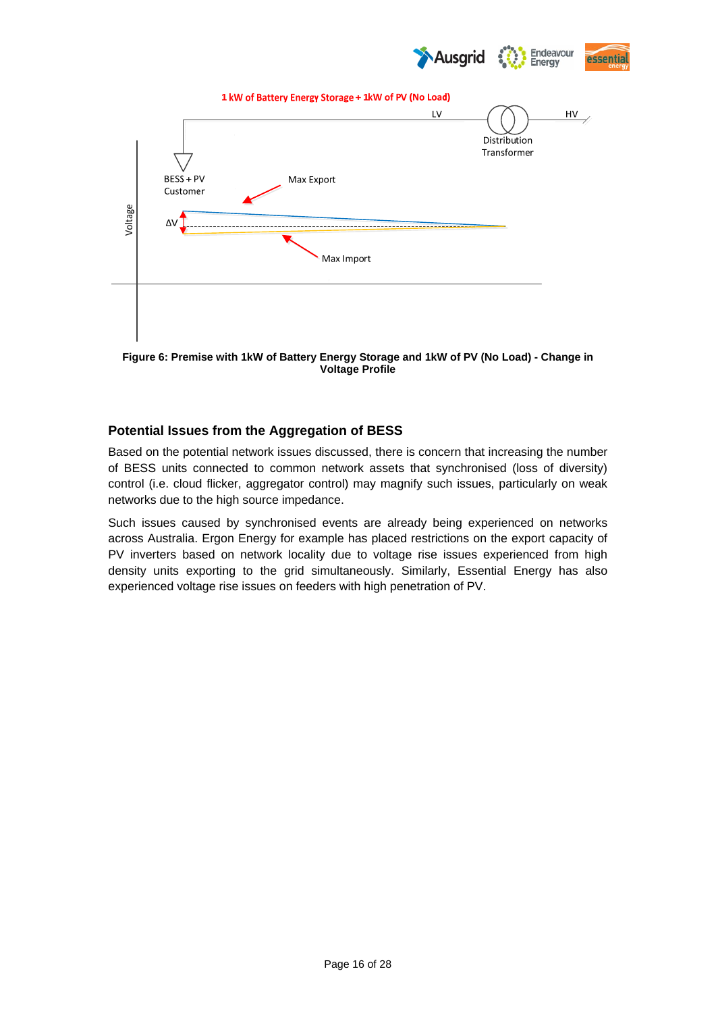



**Figure 6: Premise with 1kW of Battery Energy Storage and 1kW of PV (No Load) - Change in Voltage Profile** 

# **Potential Issues from the Aggregation of BESS**

Based on the potential network issues discussed, there is concern that increasing the number of BESS units connected to common network assets that synchronised (loss of diversity) control (i.e. cloud flicker, aggregator control) may magnify such issues, particularly on weak networks due to the high source impedance.

Such issues caused by synchronised events are already being experienced on networks across Australia. Ergon Energy for example has placed restrictions on the export capacity of PV inverters based on network locality due to voltage rise issues experienced from high density units exporting to the grid simultaneously. Similarly, Essential Energy has also experienced voltage rise issues on feeders with high penetration of PV.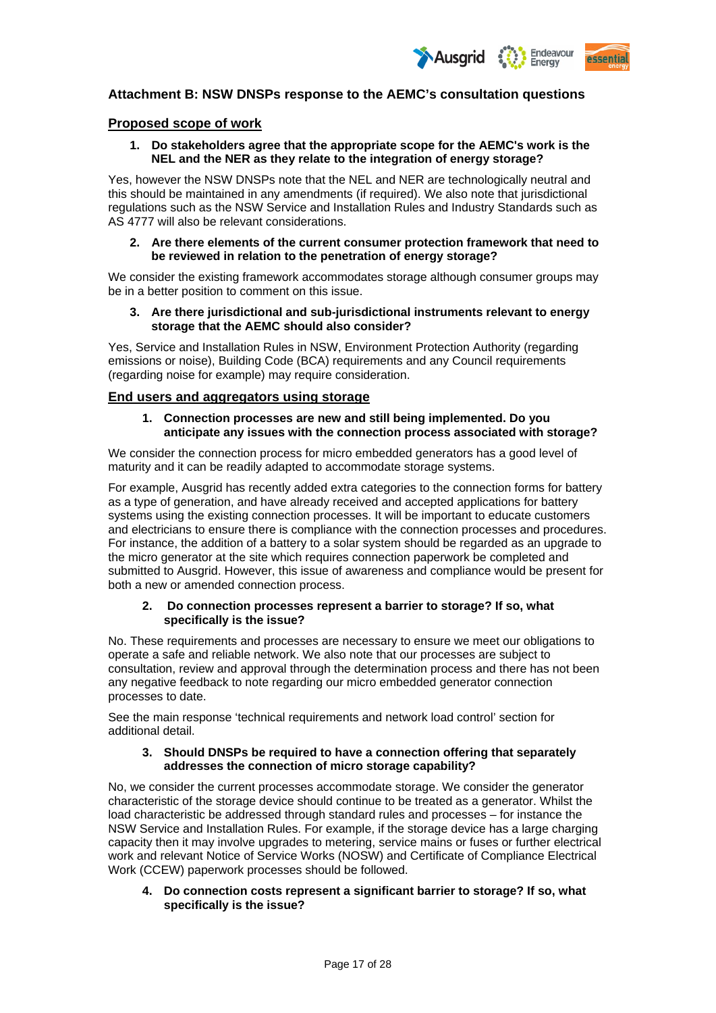

## **Attachment B: NSW DNSPs response to the AEMC's consultation questions**

## **Proposed scope of work**

## **1. Do stakeholders agree that the appropriate scope for the AEMC's work is the NEL and the NER as they relate to the integration of energy storage?**

Yes, however the NSW DNSPs note that the NEL and NER are technologically neutral and this should be maintained in any amendments (if required). We also note that jurisdictional regulations such as the NSW Service and Installation Rules and Industry Standards such as AS 4777 will also be relevant considerations.

#### **2. Are there elements of the current consumer protection framework that need to be reviewed in relation to the penetration of energy storage?**

We consider the existing framework accommodates storage although consumer groups may be in a better position to comment on this issue.

## **3. Are there jurisdictional and sub-jurisdictional instruments relevant to energy storage that the AEMC should also consider?**

Yes, Service and Installation Rules in NSW, Environment Protection Authority (regarding emissions or noise), Building Code (BCA) requirements and any Council requirements (regarding noise for example) may require consideration.

## **End users and aggregators using storage**

## **1. Connection processes are new and still being implemented. Do you anticipate any issues with the connection process associated with storage?**

We consider the connection process for micro embedded generators has a good level of maturity and it can be readily adapted to accommodate storage systems.

For example, Ausgrid has recently added extra categories to the connection forms for battery as a type of generation, and have already received and accepted applications for battery systems using the existing connection processes. It will be important to educate customers and electricians to ensure there is compliance with the connection processes and procedures. For instance, the addition of a battery to a solar system should be regarded as an upgrade to the micro generator at the site which requires connection paperwork be completed and submitted to Ausgrid. However, this issue of awareness and compliance would be present for both a new or amended connection process.

#### **2. Do connection processes represent a barrier to storage? If so, what specifically is the issue?**

No. These requirements and processes are necessary to ensure we meet our obligations to operate a safe and reliable network. We also note that our processes are subject to consultation, review and approval through the determination process and there has not been any negative feedback to note regarding our micro embedded generator connection processes to date.

See the main response 'technical requirements and network load control' section for additional detail.

## **3. Should DNSPs be required to have a connection offering that separately addresses the connection of micro storage capability?**

No, we consider the current processes accommodate storage. We consider the generator characteristic of the storage device should continue to be treated as a generator. Whilst the load characteristic be addressed through standard rules and processes – for instance the NSW Service and Installation Rules. For example, if the storage device has a large charging capacity then it may involve upgrades to metering, service mains or fuses or further electrical work and relevant Notice of Service Works (NOSW) and Certificate of Compliance Electrical Work (CCEW) paperwork processes should be followed.

**4. Do connection costs represent a significant barrier to storage? If so, what specifically is the issue?**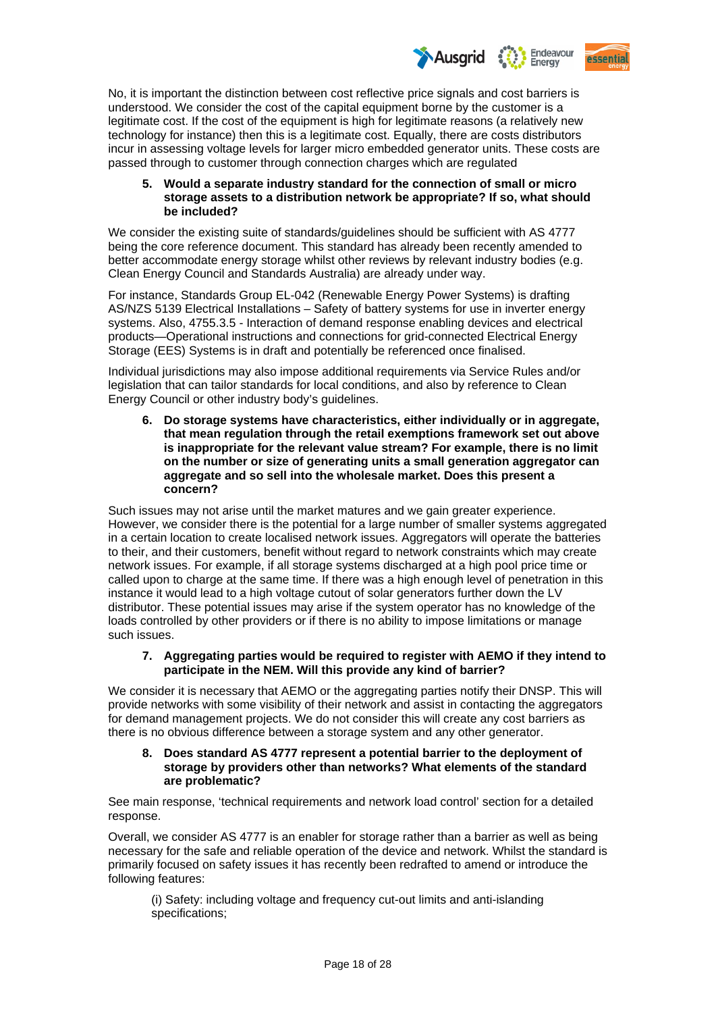

No, it is important the distinction between cost reflective price signals and cost barriers is understood. We consider the cost of the capital equipment borne by the customer is a legitimate cost. If the cost of the equipment is high for legitimate reasons (a relatively new technology for instance) then this is a legitimate cost. Equally, there are costs distributors incur in assessing voltage levels for larger micro embedded generator units. These costs are passed through to customer through connection charges which are regulated

## **5. Would a separate industry standard for the connection of small or micro storage assets to a distribution network be appropriate? If so, what should be included?**

We consider the existing suite of standards/guidelines should be sufficient with AS 4777 being the core reference document. This standard has already been recently amended to better accommodate energy storage whilst other reviews by relevant industry bodies (e.g. Clean Energy Council and Standards Australia) are already under way.

For instance, Standards Group EL-042 (Renewable Energy Power Systems) is drafting AS/NZS 5139 Electrical Installations – Safety of battery systems for use in inverter energy systems. Also, 4755.3.5 - Interaction of demand response enabling devices and electrical products—Operational instructions and connections for grid-connected Electrical Energy Storage (EES) Systems is in draft and potentially be referenced once finalised.

Individual jurisdictions may also impose additional requirements via Service Rules and/or legislation that can tailor standards for local conditions, and also by reference to Clean Energy Council or other industry body's guidelines.

**6. Do storage systems have characteristics, either individually or in aggregate, that mean regulation through the retail exemptions framework set out above is inappropriate for the relevant value stream? For example, there is no limit on the number or size of generating units a small generation aggregator can aggregate and so sell into the wholesale market. Does this present a concern?** 

Such issues may not arise until the market matures and we gain greater experience. However, we consider there is the potential for a large number of smaller systems aggregated in a certain location to create localised network issues. Aggregators will operate the batteries to their, and their customers, benefit without regard to network constraints which may create network issues. For example, if all storage systems discharged at a high pool price time or called upon to charge at the same time. If there was a high enough level of penetration in this instance it would lead to a high voltage cutout of solar generators further down the LV distributor. These potential issues may arise if the system operator has no knowledge of the loads controlled by other providers or if there is no ability to impose limitations or manage such issues.

## **7. Aggregating parties would be required to register with AEMO if they intend to participate in the NEM. Will this provide any kind of barrier?**

We consider it is necessary that AEMO or the aggregating parties notify their DNSP. This will provide networks with some visibility of their network and assist in contacting the aggregators for demand management projects. We do not consider this will create any cost barriers as there is no obvious difference between a storage system and any other generator.

## **8. Does standard AS 4777 represent a potential barrier to the deployment of storage by providers other than networks? What elements of the standard are problematic?**

See main response, 'technical requirements and network load control' section for a detailed response.

Overall, we consider AS 4777 is an enabler for storage rather than a barrier as well as being necessary for the safe and reliable operation of the device and network. Whilst the standard is primarily focused on safety issues it has recently been redrafted to amend or introduce the following features:

(i) Safety: including voltage and frequency cut-out limits and anti-islanding specifications;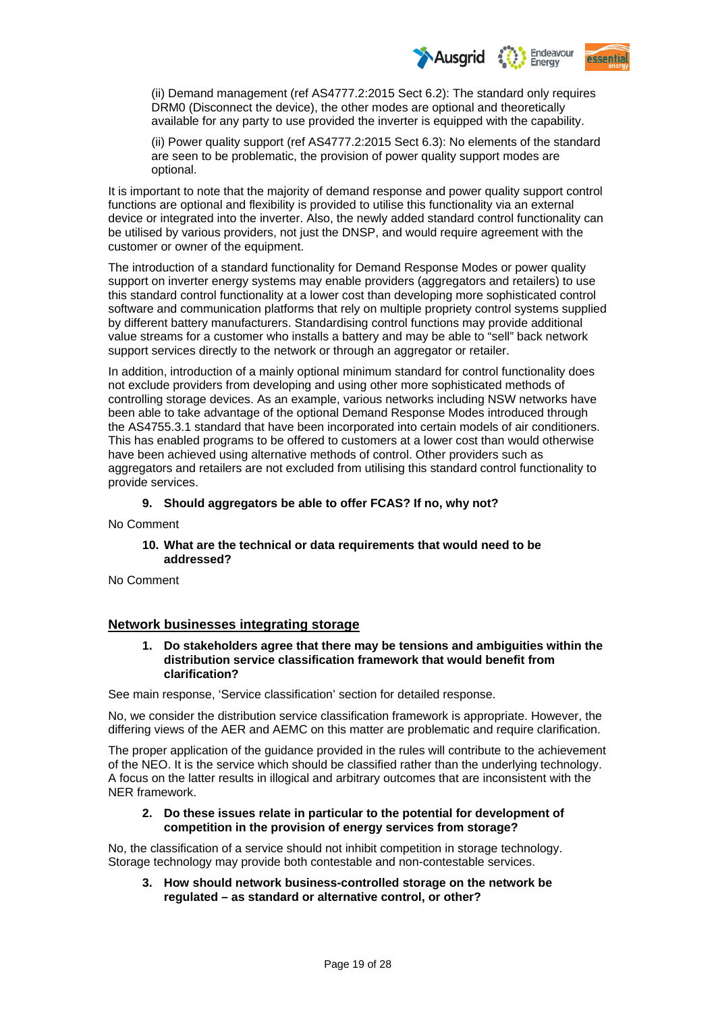

(ii) Demand management (ref AS4777.2:2015 Sect 6.2): The standard only requires DRM0 (Disconnect the device), the other modes are optional and theoretically available for any party to use provided the inverter is equipped with the capability.

(ii) Power quality support (ref AS4777.2:2015 Sect 6.3): No elements of the standard are seen to be problematic, the provision of power quality support modes are optional.

It is important to note that the majority of demand response and power quality support control functions are optional and flexibility is provided to utilise this functionality via an external device or integrated into the inverter. Also, the newly added standard control functionality can be utilised by various providers, not just the DNSP, and would require agreement with the customer or owner of the equipment.

The introduction of a standard functionality for Demand Response Modes or power quality support on inverter energy systems may enable providers (aggregators and retailers) to use this standard control functionality at a lower cost than developing more sophisticated control software and communication platforms that rely on multiple propriety control systems supplied by different battery manufacturers. Standardising control functions may provide additional value streams for a customer who installs a battery and may be able to "sell" back network support services directly to the network or through an aggregator or retailer.

In addition, introduction of a mainly optional minimum standard for control functionality does not exclude providers from developing and using other more sophisticated methods of controlling storage devices. As an example, various networks including NSW networks have been able to take advantage of the optional Demand Response Modes introduced through the AS4755.3.1 standard that have been incorporated into certain models of air conditioners. This has enabled programs to be offered to customers at a lower cost than would otherwise have been achieved using alternative methods of control. Other providers such as aggregators and retailers are not excluded from utilising this standard control functionality to provide services.

## **9. Should aggregators be able to offer FCAS? If no, why not?**

No Comment

## **10. What are the technical or data requirements that would need to be addressed?**

No Comment

## **Network businesses integrating storage**

**1. Do stakeholders agree that there may be tensions and ambiguities within the distribution service classification framework that would benefit from clarification?** 

See main response, 'Service classification' section for detailed response.

No, we consider the distribution service classification framework is appropriate. However, the differing views of the AER and AEMC on this matter are problematic and require clarification.

The proper application of the guidance provided in the rules will contribute to the achievement of the NEO. It is the service which should be classified rather than the underlying technology. A focus on the latter results in illogical and arbitrary outcomes that are inconsistent with the NER framework.

## **2. Do these issues relate in particular to the potential for development of competition in the provision of energy services from storage?**

No, the classification of a service should not inhibit competition in storage technology. Storage technology may provide both contestable and non-contestable services.

**3. How should network business-controlled storage on the network be regulated – as standard or alternative control, or other?**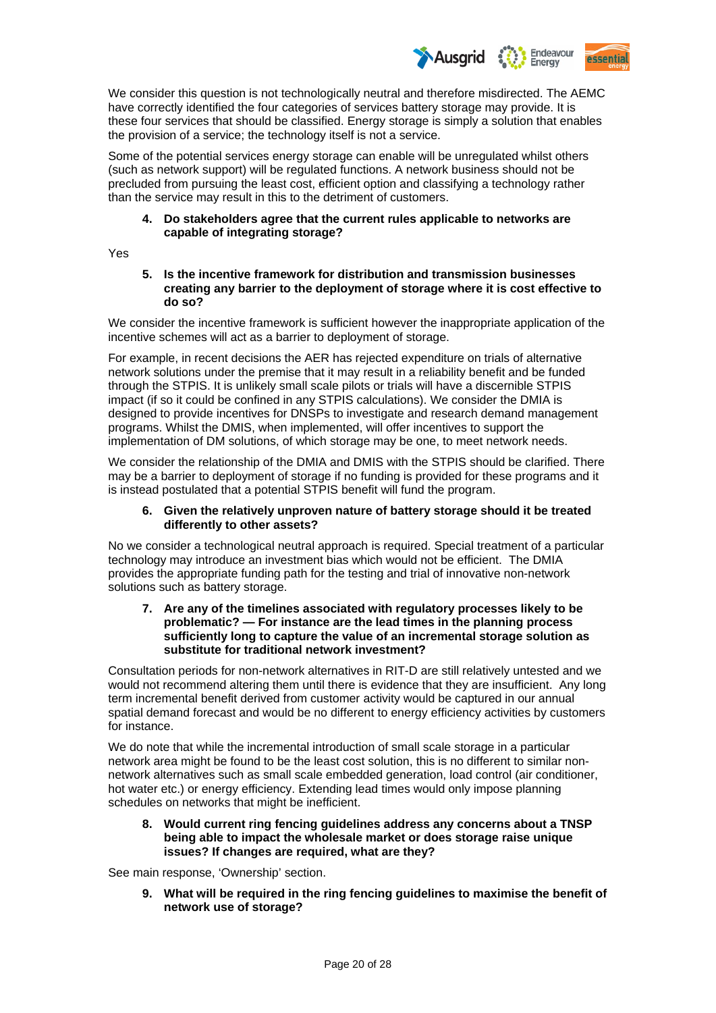

We consider this question is not technologically neutral and therefore misdirected. The AEMC have correctly identified the four categories of services battery storage may provide. It is these four services that should be classified. Energy storage is simply a solution that enables the provision of a service; the technology itself is not a service.

Some of the potential services energy storage can enable will be unregulated whilst others (such as network support) will be regulated functions. A network business should not be precluded from pursuing the least cost, efficient option and classifying a technology rather than the service may result in this to the detriment of customers.

## **4. Do stakeholders agree that the current rules applicable to networks are capable of integrating storage?**

Yes

## **5. Is the incentive framework for distribution and transmission businesses creating any barrier to the deployment of storage where it is cost effective to do so?**

We consider the incentive framework is sufficient however the inappropriate application of the incentive schemes will act as a barrier to deployment of storage.

For example, in recent decisions the AER has rejected expenditure on trials of alternative network solutions under the premise that it may result in a reliability benefit and be funded through the STPIS. It is unlikely small scale pilots or trials will have a discernible STPIS impact (if so it could be confined in any STPIS calculations). We consider the DMIA is designed to provide incentives for DNSPs to investigate and research demand management programs. Whilst the DMIS, when implemented, will offer incentives to support the implementation of DM solutions, of which storage may be one, to meet network needs.

We consider the relationship of the DMIA and DMIS with the STPIS should be clarified. There may be a barrier to deployment of storage if no funding is provided for these programs and it is instead postulated that a potential STPIS benefit will fund the program.

## **6. Given the relatively unproven nature of battery storage should it be treated differently to other assets?**

No we consider a technological neutral approach is required. Special treatment of a particular technology may introduce an investment bias which would not be efficient. The DMIA provides the appropriate funding path for the testing and trial of innovative non-network solutions such as battery storage.

## **7. Are any of the timelines associated with regulatory processes likely to be problematic? — For instance are the lead times in the planning process sufficiently long to capture the value of an incremental storage solution as substitute for traditional network investment?**

Consultation periods for non-network alternatives in RIT-D are still relatively untested and we would not recommend altering them until there is evidence that they are insufficient. Any long term incremental benefit derived from customer activity would be captured in our annual spatial demand forecast and would be no different to energy efficiency activities by customers for instance.

We do note that while the incremental introduction of small scale storage in a particular network area might be found to be the least cost solution, this is no different to similar nonnetwork alternatives such as small scale embedded generation, load control (air conditioner, hot water etc.) or energy efficiency. Extending lead times would only impose planning schedules on networks that might be inefficient.

## **8. Would current ring fencing guidelines address any concerns about a TNSP being able to impact the wholesale market or does storage raise unique issues? If changes are required, what are they?**

See main response, 'Ownership' section.

**9. What will be required in the ring fencing guidelines to maximise the benefit of network use of storage?**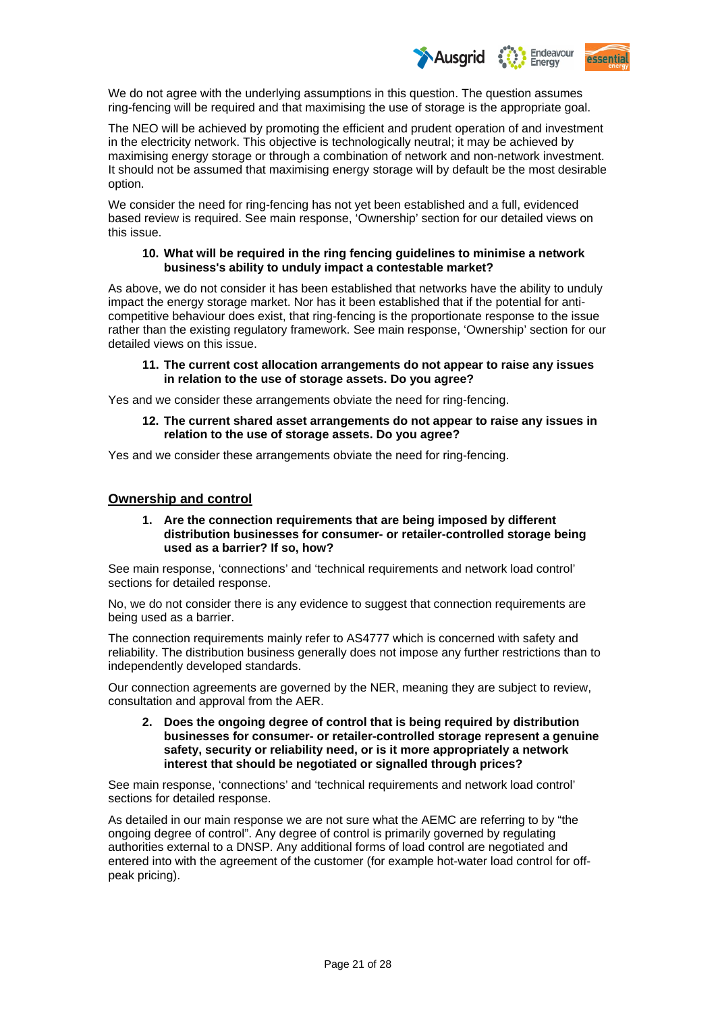

We do not agree with the underlying assumptions in this question. The question assumes ring-fencing will be required and that maximising the use of storage is the appropriate goal.

The NEO will be achieved by promoting the efficient and prudent operation of and investment in the electricity network. This objective is technologically neutral; it may be achieved by maximising energy storage or through a combination of network and non-network investment. It should not be assumed that maximising energy storage will by default be the most desirable option.

We consider the need for ring-fencing has not yet been established and a full, evidenced based review is required. See main response, 'Ownership' section for our detailed views on this issue.

#### **10. What will be required in the ring fencing guidelines to minimise a network business's ability to unduly impact a contestable market?**

As above, we do not consider it has been established that networks have the ability to unduly impact the energy storage market. Nor has it been established that if the potential for anticompetitive behaviour does exist, that ring-fencing is the proportionate response to the issue rather than the existing regulatory framework. See main response, 'Ownership' section for our detailed views on this issue.

## **11. The current cost allocation arrangements do not appear to raise any issues in relation to the use of storage assets. Do you agree?**

Yes and we consider these arrangements obviate the need for ring-fencing.

**12. The current shared asset arrangements do not appear to raise any issues in relation to the use of storage assets. Do you agree?** 

Yes and we consider these arrangements obviate the need for ring-fencing.

## **Ownership and control**

## **1. Are the connection requirements that are being imposed by different distribution businesses for consumer- or retailer-controlled storage being used as a barrier? If so, how?**

See main response, 'connections' and 'technical requirements and network load control' sections for detailed response.

No, we do not consider there is any evidence to suggest that connection requirements are being used as a barrier.

The connection requirements mainly refer to AS4777 which is concerned with safety and reliability. The distribution business generally does not impose any further restrictions than to independently developed standards.

Our connection agreements are governed by the NER, meaning they are subject to review, consultation and approval from the AER.

**2. Does the ongoing degree of control that is being required by distribution businesses for consumer- or retailer-controlled storage represent a genuine safety, security or reliability need, or is it more appropriately a network interest that should be negotiated or signalled through prices?** 

See main response, 'connections' and 'technical requirements and network load control' sections for detailed response.

As detailed in our main response we are not sure what the AEMC are referring to by "the ongoing degree of control". Any degree of control is primarily governed by regulating authorities external to a DNSP. Any additional forms of load control are negotiated and entered into with the agreement of the customer (for example hot-water load control for offpeak pricing).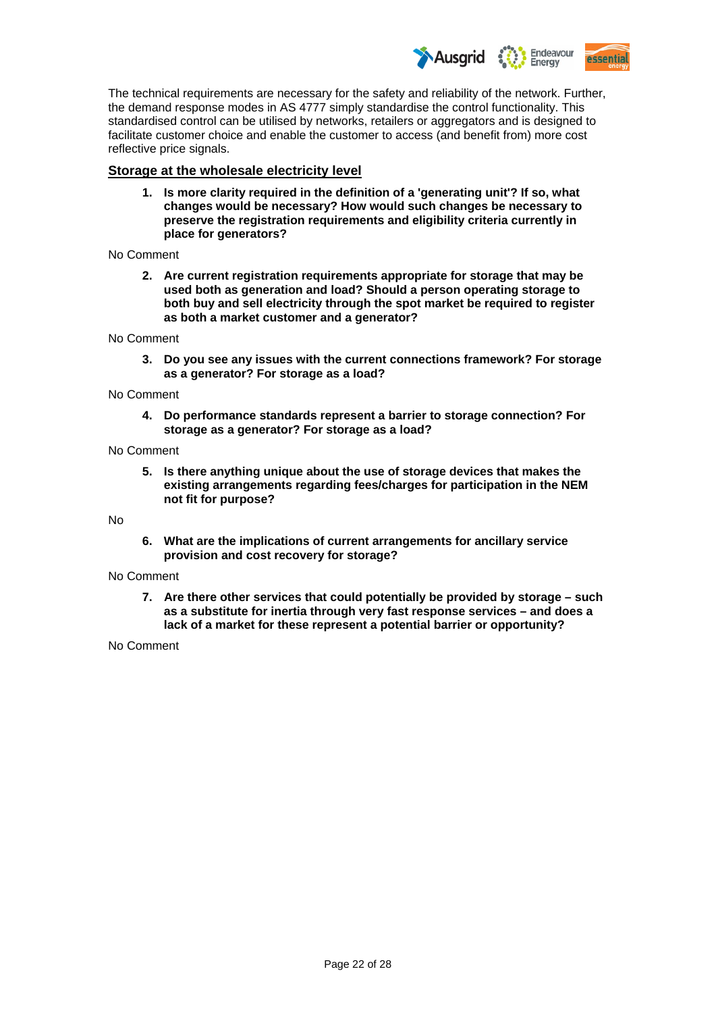Endeavour **Ausarid Assential** Eneray

The technical requirements are necessary for the safety and reliability of the network. Further, the demand response modes in AS 4777 simply standardise the control functionality. This standardised control can be utilised by networks, retailers or aggregators and is designed to facilitate customer choice and enable the customer to access (and benefit from) more cost reflective price signals.

## **Storage at the wholesale electricity level**

**1. Is more clarity required in the definition of a 'generating unit'? If so, what changes would be necessary? How would such changes be necessary to preserve the registration requirements and eligibility criteria currently in place for generators?** 

#### No Comment

**2. Are current registration requirements appropriate for storage that may be used both as generation and load? Should a person operating storage to both buy and sell electricity through the spot market be required to register as both a market customer and a generator?** 

No Comment

**3. Do you see any issues with the current connections framework? For storage as a generator? For storage as a load?** 

No Comment

**4. Do performance standards represent a barrier to storage connection? For storage as a generator? For storage as a load?** 

#### No Comment

**5. Is there anything unique about the use of storage devices that makes the existing arrangements regarding fees/charges for participation in the NEM not fit for purpose?** 

No

**6. What are the implications of current arrangements for ancillary service provision and cost recovery for storage?** 

## No Comment

**7. Are there other services that could potentially be provided by storage – such as a substitute for inertia through very fast response services – and does a lack of a market for these represent a potential barrier or opportunity?** 

## No Comment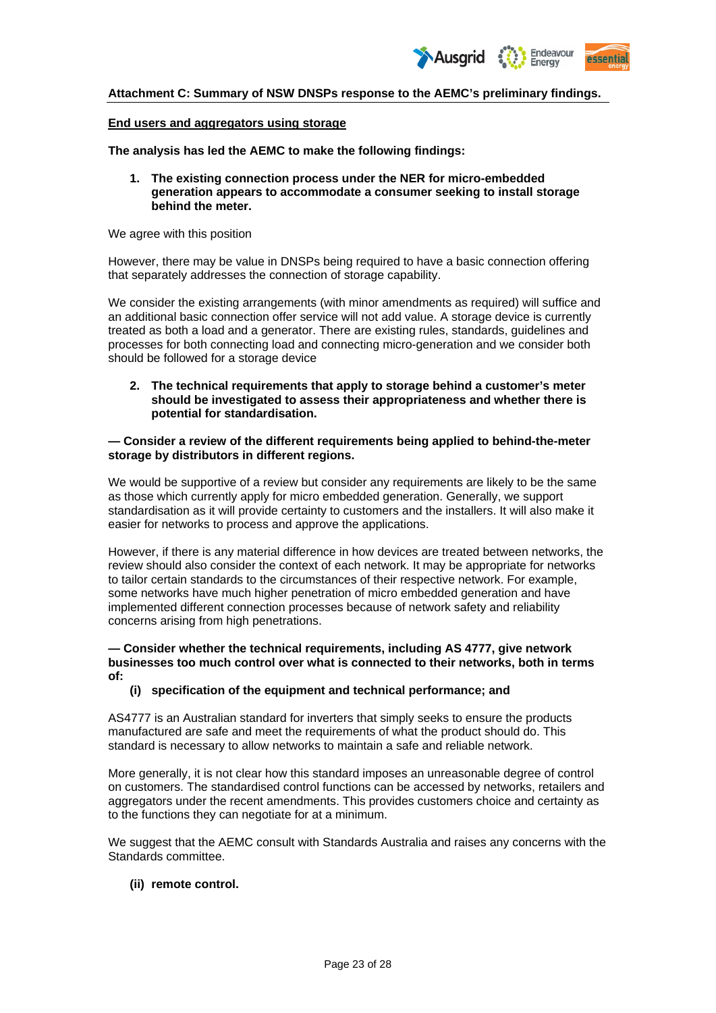

## **Attachment C: Summary of NSW DNSPs response to the AEMC's preliminary findings.**

#### **End users and aggregators using storage**

**The analysis has led the AEMC to make the following findings:** 

**1. The existing connection process under the NER for micro-embedded generation appears to accommodate a consumer seeking to install storage behind the meter.** 

We agree with this position

However, there may be value in DNSPs being required to have a basic connection offering that separately addresses the connection of storage capability.

We consider the existing arrangements (with minor amendments as required) will suffice and an additional basic connection offer service will not add value. A storage device is currently treated as both a load and a generator. There are existing rules, standards, guidelines and processes for both connecting load and connecting micro-generation and we consider both should be followed for a storage device

**2. The technical requirements that apply to storage behind a customer's meter should be investigated to assess their appropriateness and whether there is potential for standardisation.** 

#### **— Consider a review of the different requirements being applied to behind-the-meter storage by distributors in different regions.**

We would be supportive of a review but consider any requirements are likely to be the same as those which currently apply for micro embedded generation. Generally, we support standardisation as it will provide certainty to customers and the installers. It will also make it easier for networks to process and approve the applications.

However, if there is any material difference in how devices are treated between networks, the review should also consider the context of each network. It may be appropriate for networks to tailor certain standards to the circumstances of their respective network. For example, some networks have much higher penetration of micro embedded generation and have implemented different connection processes because of network safety and reliability concerns arising from high penetrations.

#### **— Consider whether the technical requirements, including AS 4777, give network businesses too much control over what is connected to their networks, both in terms of:**

## **(i) specification of the equipment and technical performance; and**

AS4777 is an Australian standard for inverters that simply seeks to ensure the products manufactured are safe and meet the requirements of what the product should do. This standard is necessary to allow networks to maintain a safe and reliable network.

More generally, it is not clear how this standard imposes an unreasonable degree of control on customers. The standardised control functions can be accessed by networks, retailers and aggregators under the recent amendments. This provides customers choice and certainty as to the functions they can negotiate for at a minimum.

We suggest that the AEMC consult with Standards Australia and raises any concerns with the Standards committee.

## **(ii) remote control.**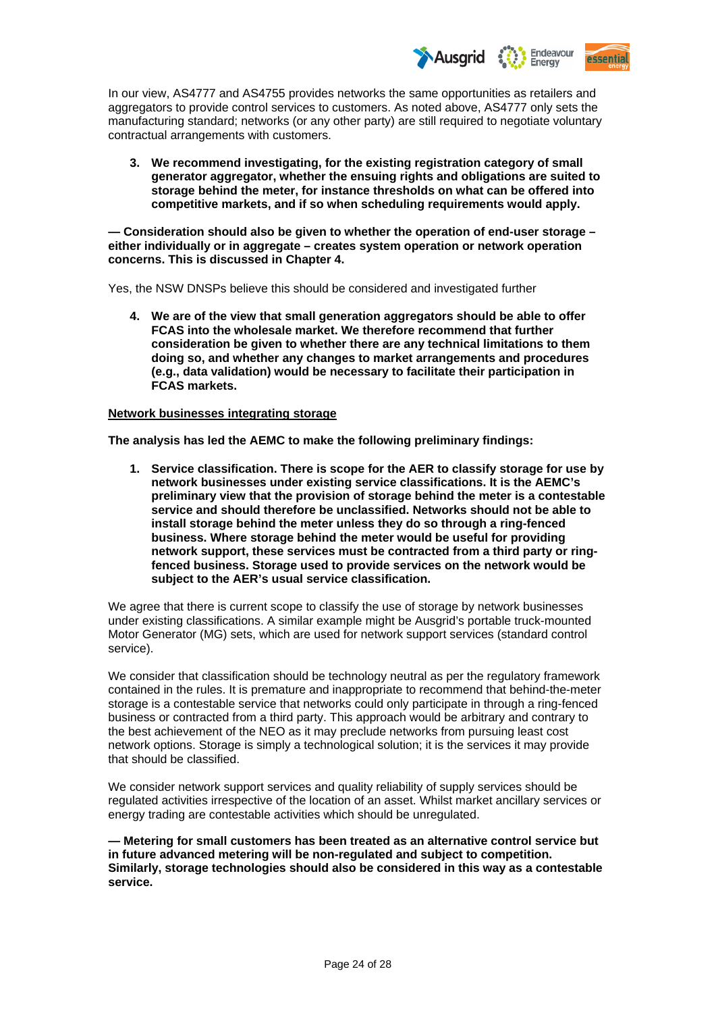

In our view, AS4777 and AS4755 provides networks the same opportunities as retailers and aggregators to provide control services to customers. As noted above, AS4777 only sets the manufacturing standard; networks (or any other party) are still required to negotiate voluntary contractual arrangements with customers.

**3. We recommend investigating, for the existing registration category of small generator aggregator, whether the ensuing rights and obligations are suited to storage behind the meter, for instance thresholds on what can be offered into competitive markets, and if so when scheduling requirements would apply.** 

**— Consideration should also be given to whether the operation of end-user storage – either individually or in aggregate – creates system operation or network operation concerns. This is discussed in Chapter 4.** 

Yes, the NSW DNSPs believe this should be considered and investigated further

**4. We are of the view that small generation aggregators should be able to offer FCAS into the wholesale market. We therefore recommend that further consideration be given to whether there are any technical limitations to them doing so, and whether any changes to market arrangements and procedures (e.g., data validation) would be necessary to facilitate their participation in FCAS markets.** 

## **Network businesses integrating storage**

**The analysis has led the AEMC to make the following preliminary findings:** 

**1. Service classification. There is scope for the AER to classify storage for use by network businesses under existing service classifications. It is the AEMC's preliminary view that the provision of storage behind the meter is a contestable service and should therefore be unclassified. Networks should not be able to install storage behind the meter unless they do so through a ring-fenced business. Where storage behind the meter would be useful for providing network support, these services must be contracted from a third party or ringfenced business. Storage used to provide services on the network would be subject to the AER's usual service classification.** 

We agree that there is current scope to classify the use of storage by network businesses under existing classifications. A similar example might be Ausgrid's portable truck-mounted Motor Generator (MG) sets, which are used for network support services (standard control service).

We consider that classification should be technology neutral as per the regulatory framework contained in the rules. It is premature and inappropriate to recommend that behind-the-meter storage is a contestable service that networks could only participate in through a ring-fenced business or contracted from a third party. This approach would be arbitrary and contrary to the best achievement of the NEO as it may preclude networks from pursuing least cost network options. Storage is simply a technological solution; it is the services it may provide that should be classified.

We consider network support services and quality reliability of supply services should be regulated activities irrespective of the location of an asset. Whilst market ancillary services or energy trading are contestable activities which should be unregulated.

**— Metering for small customers has been treated as an alternative control service but in future advanced metering will be non-regulated and subject to competition. Similarly, storage technologies should also be considered in this way as a contestable service.**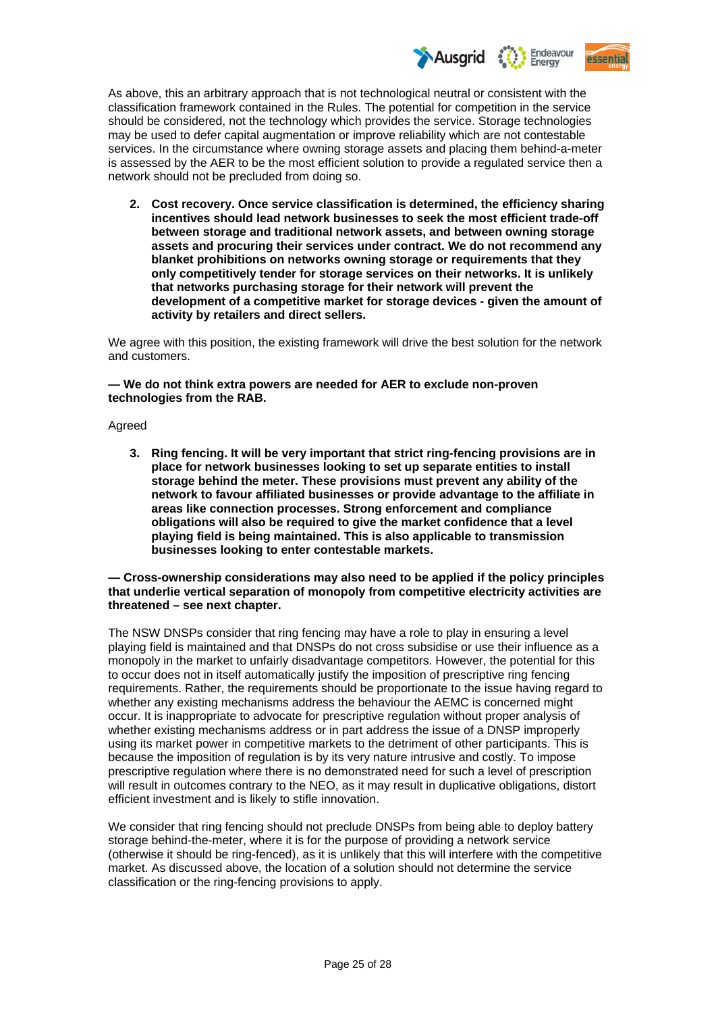

As above, this an arbitrary approach that is not technological neutral or consistent with the classification framework contained in the Rules. The potential for competition in the service should be considered, not the technology which provides the service. Storage technologies may be used to defer capital augmentation or improve reliability which are not contestable services. In the circumstance where owning storage assets and placing them behind-a-meter is assessed by the AER to be the most efficient solution to provide a regulated service then a network should not be precluded from doing so.

**2. Cost recovery. Once service classification is determined, the efficiency sharing incentives should lead network businesses to seek the most efficient trade-off between storage and traditional network assets, and between owning storage assets and procuring their services under contract. We do not recommend any blanket prohibitions on networks owning storage or requirements that they only competitively tender for storage services on their networks. It is unlikely that networks purchasing storage for their network will prevent the development of a competitive market for storage devices - given the amount of activity by retailers and direct sellers.** 

We agree with this position, the existing framework will drive the best solution for the network and customers.

**— We do not think extra powers are needed for AER to exclude non-proven technologies from the RAB.** 

#### Agreed

**3. Ring fencing. It will be very important that strict ring-fencing provisions are in place for network businesses looking to set up separate entities to install storage behind the meter. These provisions must prevent any ability of the network to favour affiliated businesses or provide advantage to the affiliate in areas like connection processes. Strong enforcement and compliance obligations will also be required to give the market confidence that a level playing field is being maintained. This is also applicable to transmission businesses looking to enter contestable markets.** 

**— Cross-ownership considerations may also need to be applied if the policy principles that underlie vertical separation of monopoly from competitive electricity activities are threatened – see next chapter.** 

The NSW DNSPs consider that ring fencing may have a role to play in ensuring a level playing field is maintained and that DNSPs do not cross subsidise or use their influence as a monopoly in the market to unfairly disadvantage competitors. However, the potential for this to occur does not in itself automatically justify the imposition of prescriptive ring fencing requirements. Rather, the requirements should be proportionate to the issue having regard to whether any existing mechanisms address the behaviour the AEMC is concerned might occur. It is inappropriate to advocate for prescriptive regulation without proper analysis of whether existing mechanisms address or in part address the issue of a DNSP improperly using its market power in competitive markets to the detriment of other participants. This is because the imposition of regulation is by its very nature intrusive and costly. To impose prescriptive regulation where there is no demonstrated need for such a level of prescription will result in outcomes contrary to the NEO, as it may result in duplicative obligations, distort efficient investment and is likely to stifle innovation.

We consider that ring fencing should not preclude DNSPs from being able to deploy battery storage behind-the-meter, where it is for the purpose of providing a network service (otherwise it should be ring-fenced), as it is unlikely that this will interfere with the competitive market. As discussed above, the location of a solution should not determine the service classification or the ring-fencing provisions to apply.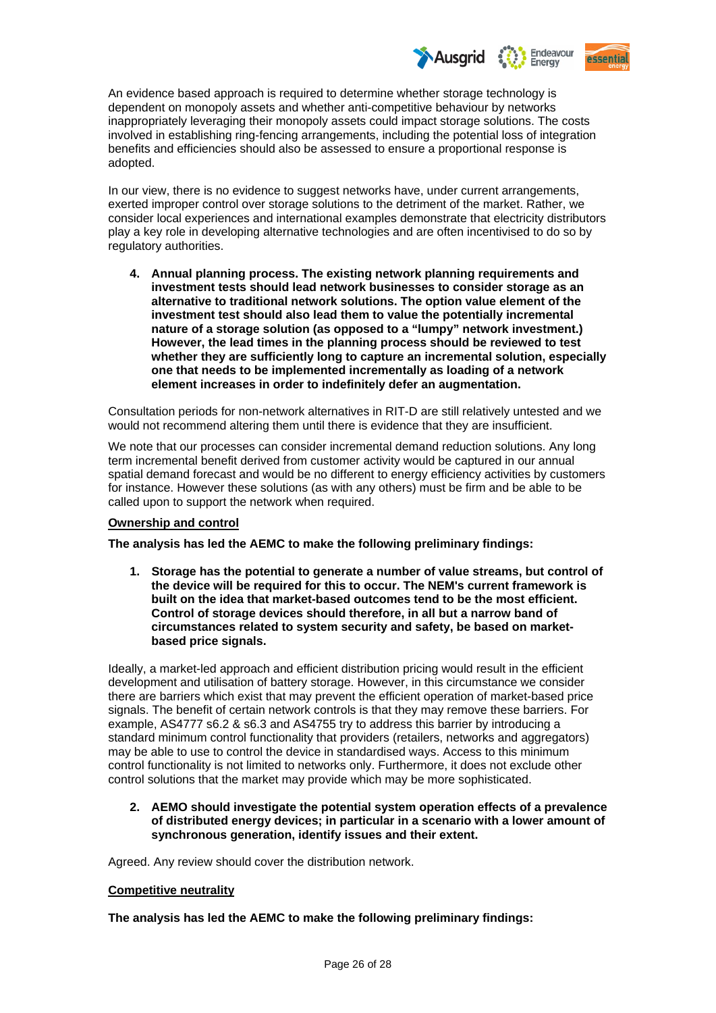

An evidence based approach is required to determine whether storage technology is dependent on monopoly assets and whether anti-competitive behaviour by networks inappropriately leveraging their monopoly assets could impact storage solutions. The costs involved in establishing ring-fencing arrangements, including the potential loss of integration benefits and efficiencies should also be assessed to ensure a proportional response is adopted.

In our view, there is no evidence to suggest networks have, under current arrangements, exerted improper control over storage solutions to the detriment of the market. Rather, we consider local experiences and international examples demonstrate that electricity distributors play a key role in developing alternative technologies and are often incentivised to do so by regulatory authorities.

**4. Annual planning process. The existing network planning requirements and investment tests should lead network businesses to consider storage as an alternative to traditional network solutions. The option value element of the investment test should also lead them to value the potentially incremental nature of a storage solution (as opposed to a "lumpy" network investment.) However, the lead times in the planning process should be reviewed to test whether they are sufficiently long to capture an incremental solution, especially one that needs to be implemented incrementally as loading of a network element increases in order to indefinitely defer an augmentation.** 

Consultation periods for non-network alternatives in RIT-D are still relatively untested and we would not recommend altering them until there is evidence that they are insufficient.

We note that our processes can consider incremental demand reduction solutions. Any long term incremental benefit derived from customer activity would be captured in our annual spatial demand forecast and would be no different to energy efficiency activities by customers for instance. However these solutions (as with any others) must be firm and be able to be called upon to support the network when required.

## **Ownership and control**

**The analysis has led the AEMC to make the following preliminary findings:** 

**1. Storage has the potential to generate a number of value streams, but control of the device will be required for this to occur. The NEM's current framework is built on the idea that market-based outcomes tend to be the most efficient. Control of storage devices should therefore, in all but a narrow band of circumstances related to system security and safety, be based on marketbased price signals.** 

Ideally, a market-led approach and efficient distribution pricing would result in the efficient development and utilisation of battery storage. However, in this circumstance we consider there are barriers which exist that may prevent the efficient operation of market-based price signals. The benefit of certain network controls is that they may remove these barriers. For example, AS4777 s6.2 & s6.3 and AS4755 try to address this barrier by introducing a standard minimum control functionality that providers (retailers, networks and aggregators) may be able to use to control the device in standardised ways. Access to this minimum control functionality is not limited to networks only. Furthermore, it does not exclude other control solutions that the market may provide which may be more sophisticated.

## **2. AEMO should investigate the potential system operation effects of a prevalence of distributed energy devices; in particular in a scenario with a lower amount of synchronous generation, identify issues and their extent.**

Agreed. Any review should cover the distribution network.

## **Competitive neutrality**

**The analysis has led the AEMC to make the following preliminary findings:**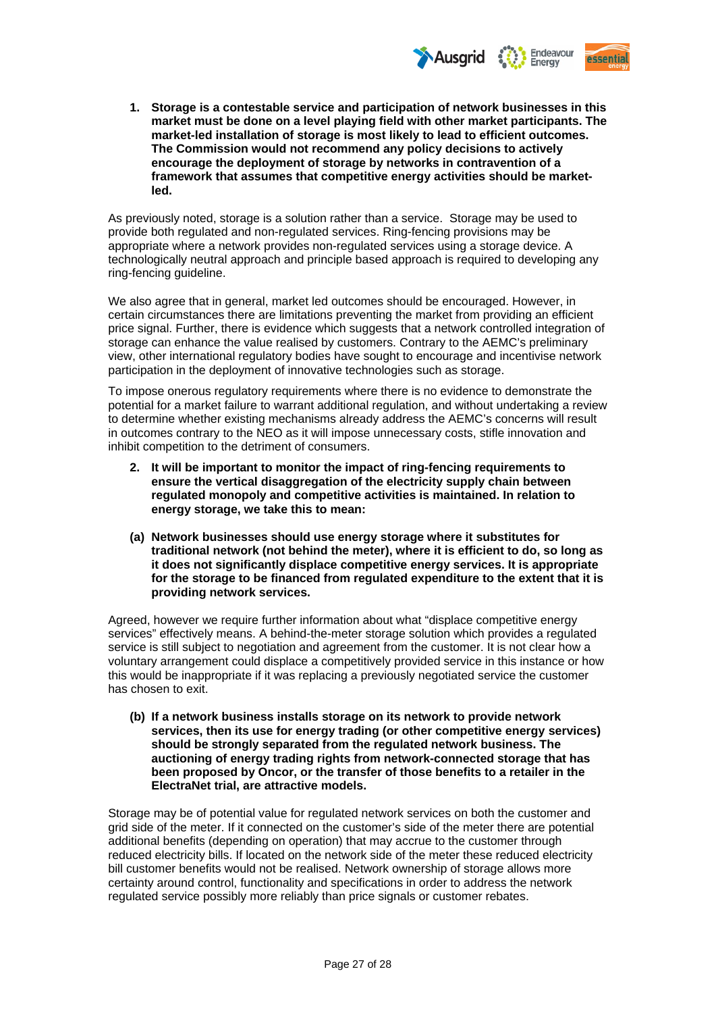

**1. Storage is a contestable service and participation of network businesses in this market must be done on a level playing field with other market participants. The market-led installation of storage is most likely to lead to efficient outcomes. The Commission would not recommend any policy decisions to actively encourage the deployment of storage by networks in contravention of a framework that assumes that competitive energy activities should be marketled.** 

As previously noted, storage is a solution rather than a service. Storage may be used to provide both regulated and non-regulated services. Ring-fencing provisions may be appropriate where a network provides non-regulated services using a storage device. A technologically neutral approach and principle based approach is required to developing any ring-fencing guideline.

We also agree that in general, market led outcomes should be encouraged. However, in certain circumstances there are limitations preventing the market from providing an efficient price signal. Further, there is evidence which suggests that a network controlled integration of storage can enhance the value realised by customers. Contrary to the AEMC's preliminary view, other international regulatory bodies have sought to encourage and incentivise network participation in the deployment of innovative technologies such as storage.

To impose onerous regulatory requirements where there is no evidence to demonstrate the potential for a market failure to warrant additional regulation, and without undertaking a review to determine whether existing mechanisms already address the AEMC's concerns will result in outcomes contrary to the NEO as it will impose unnecessary costs, stifle innovation and inhibit competition to the detriment of consumers.

- **2. It will be important to monitor the impact of ring-fencing requirements to ensure the vertical disaggregation of the electricity supply chain between regulated monopoly and competitive activities is maintained. In relation to energy storage, we take this to mean:**
- **(a) Network businesses should use energy storage where it substitutes for traditional network (not behind the meter), where it is efficient to do, so long as it does not significantly displace competitive energy services. It is appropriate for the storage to be financed from regulated expenditure to the extent that it is providing network services.**

Agreed, however we require further information about what "displace competitive energy services" effectively means. A behind-the-meter storage solution which provides a regulated service is still subject to negotiation and agreement from the customer. It is not clear how a voluntary arrangement could displace a competitively provided service in this instance or how this would be inappropriate if it was replacing a previously negotiated service the customer has chosen to exit.

**(b) If a network business installs storage on its network to provide network services, then its use for energy trading (or other competitive energy services) should be strongly separated from the regulated network business. The auctioning of energy trading rights from network-connected storage that has been proposed by Oncor, or the transfer of those benefits to a retailer in the ElectraNet trial, are attractive models.** 

Storage may be of potential value for regulated network services on both the customer and grid side of the meter. If it connected on the customer's side of the meter there are potential additional benefits (depending on operation) that may accrue to the customer through reduced electricity bills. If located on the network side of the meter these reduced electricity bill customer benefits would not be realised. Network ownership of storage allows more certainty around control, functionality and specifications in order to address the network regulated service possibly more reliably than price signals or customer rebates.